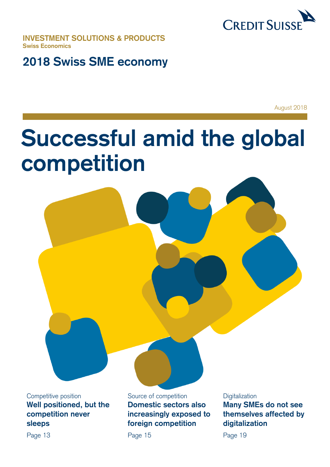

**INVESTMENT SOLUTIONS & PRODUCTS Swiss Economics**

## **2018 Swiss SME economy**

August 2018

# **Successful amid the global competition**

**Well positioned, but the competition never sleeps** 

Page 13

Competitive position Source of competition Digitalization **Domestic sectors also increasingly exposed to foreign competition**

Page 15

**Many SMEs do not see themselves affected by digitalization**

Page 19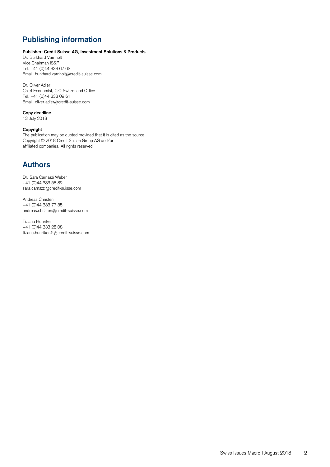### **Publishing information**

#### **Publisher: Credit Suisse AG, Investment Solutions & Products**

Dr. Burkhard Varnholt Vice Chairman IS&P Tel. +41 (0)44 333 67 63 Email: burkhard.varnholt@credit-suisse.com

Dr. Oliver Adler Chief Economist, CIO Switzerland Office Tel. +41 (0)44 333 09 61 Email: oliver.adler@credit-suisse.com

#### **Copy deadline**

13 July 2018

#### **Copyright**

The publication may be quoted provided that it is cited as the source. Copyright © 2018 Credit Suisse Group AG and/or affiliated companies. All rights reserved.

### **Authors**

Dr. Sara Carnazzi Weber +41 (0)44 333 58 82 sara.carnazzi@credit-suisse.com

Andreas Christen +41 (0)44 333 77 35 andreas.christen@credit-suisse.com

Tiziana Hunziker +41 (0)44 333 28 08 [tiziana.hunziker.2@credit-suisse.com](mailto:tiziana.hunziker.2@credit-suisse.com)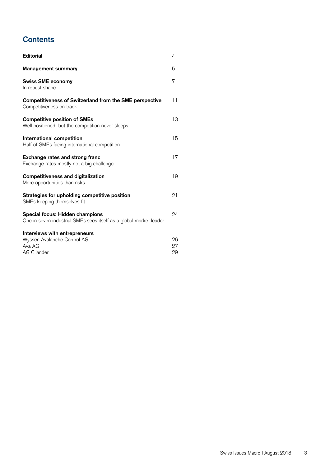### **Contents**

| <b>Editorial</b>                                                                                      | 4              |
|-------------------------------------------------------------------------------------------------------|----------------|
| <b>Management summary</b>                                                                             | 5              |
| <b>Swiss SME economy</b><br>In robust shape                                                           | 7              |
| <b>Competitiveness of Switzerland from the SME perspective</b><br>Competitiveness on track            | 11             |
| <b>Competitive position of SMEs</b><br>Well positioned, but the competition never sleeps              | 13             |
| International competition<br>Half of SMEs facing international competition                            | 15             |
| Exchange rates and strong franc<br>Exchange rates mostly not a big challenge                          | 17             |
| <b>Competitiveness and digitalization</b><br>More opportunities than risks                            | 19             |
| Strategies for upholding competitive position<br>SMEs keeping themselves fit                          | 21             |
| Special focus: Hidden champions<br>One in seven industrial SMEs sees itself as a global market leader | 24             |
| Interviews with entrepreneurs<br>Wyssen Avalanche Control AG<br>Ava AG<br><b>AG Cilander</b>          | 26<br>27<br>29 |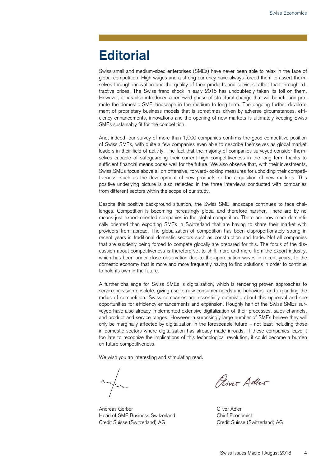## **Editorial**

Swiss small and medium-sized enterprises (SMEs) have never been able to relax in the face of global competition. High wages and a strong currency have always forced them to assert themselves through innovation and the quality of their products and services rather than through attractive prices. The Swiss franc shock in early 2015 has undoubtedly taken its toll on them. However, it has also introduced a renewed phase of structural change that will benefit and promote the domestic SME landscape in the medium to long term. The ongoing further development of proprietary business models that is sometimes driven by adverse circumstances, efficiency enhancements, innovations and the opening of new markets is ultimately keeping Swiss SMEs sustainably fit for the competition.

And, indeed, our survey of more than 1,000 companies confirms the good competitive position of Swiss SMEs, with quite a few companies even able to describe themselves as global market leaders in their field of activity. The fact that the majority of companies surveyed consider themselves capable of safeguarding their current high competitiveness in the long term thanks to sufficient financial means bodes well for the future. We also observe that, with their investments, Swiss SMEs focus above all on offensive, forward-looking measures for upholding their competitiveness, such as the development of new products or the acquisition of new markets. This positive underlying picture is also reflected in the three interviews conducted with companies from different sectors within the scope of our study.

Despite this positive background situation, the Swiss SME landscape continues to face challenges. Competition is becoming increasingly global and therefore harsher. There are by no means just export-oriented companies in the global competition. There are now more domestically oriented than exporting SMEs in Switzerland that are having to share their market with providers from abroad. The globalization of competition has been disproportionately strong in recent years in traditional domestic sectors such as construction and trade. Not all companies that are suddenly being forced to compete globally are prepared for this. The focus of the discussion about competitiveness is therefore set to shift more and more from the export industry, which has been under close observation due to the appreciation waves in recent years, to the domestic economy that is more and more frequently having to find solutions in order to continue to hold its own in the future.

A further challenge for Swiss SMEs is digitalization, which is rendering proven approaches to service provision obsolete, giving rise to new consumer needs and behaviors, and expanding the radius of competition. Swiss companies are essentially optimistic about this upheaval and see opportunities for efficiency enhancements and expansion. Roughly half of the Swiss SMEs surveyed have also already implemented extensive digitalization of their processes, sales channels, and product and service ranges. However, a surprisingly large number of SMEs believe they will only be marginally affected by digitalization in the foreseeable future – not least including those in domestic sectors where digitalization has already made inroads. If these companies leave it too late to recognize the implications of this technological revolution, it could become a burden on future competitiveness.

We wish you an interesting and stimulating read.

Andreas Gerber **Contract Contract Contract Contract Contract Contract Contract Contract Contract Contract Contract Contract Contract Contract Contract Contract Contract Contract Contract Contract Contract Contract Contract** Head of SME Business Switzerland Chief Economist Credit Suisse (Switzerland) AG Credit Suisse (Switzerland) AG

Piver Adler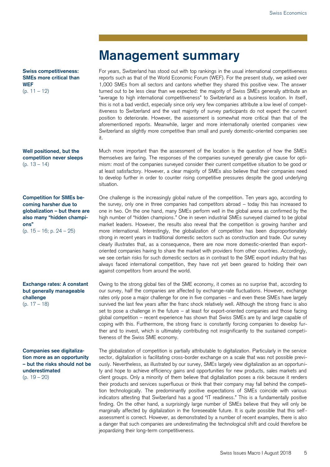### **Management summary**

For years, Switzerland has stood out with top rankings in the usual international competitiveness reports such as that of the World Economic Forum (WEF). For the present study, we asked over 1,000 SMEs from all sectors and cantons whether they shared this positive view. The answer turned out to be less clear than we expected: the majority of Swiss SMEs generally attribute an "average to high international competitiveness" to Switzerland as a business location. In itself, this is not a bad verdict, especially since only very few companies attribute a low level of competitiveness to Switzerland and the vast majority of survey participants do not expect the current position to deteriorate. However, the assessment is somewhat more critical than that of the aforementioned reports. Meanwhile, larger and more internationally oriented companies view Switzerland as slightly more competitive than small and purely domestic-oriented companies see it.

Much more important than the assessment of the location is the question of how the SMEs themselves are faring. The responses of the companies surveyed generally give cause for optimism: most of the companies surveyed consider their current competitive situation to be good or at least satisfactory. However, a clear majority of SMEs also believe that their companies need to develop further in order to counter rising competitive pressures despite the good underlying situation.

One challenge is the increasingly global nature of the competition. Ten years ago, according to the survey, only one in three companies had competitors abroad – today this has increased to one in two. On the one hand, many SMEs perform well in the global arena as confirmed by the high number of "hidden champions." One in seven industrial SMEs surveyed claimed to be global market leaders. However, the results also reveal that the competition is growing harsher and more international. Interestingly, the globalization of competition has been disproportionately strong in recent years in traditional domestic sectors such as construction and trade. Our survey clearly illustrates that, as a consequence, there are now more domestic-oriented than exportoriented companies having to share the market with providers from other countries. Accordingly, we see certain risks for such domestic sectors as in contrast to the SME export industry that has always faced international competition, they have not yet been geared to holding their own against competitors from around the world.

Owing to the strong global ties of the SME economy, it comes as no surprise that, according to our survey, half the companies are affected by exchange-rate fluctuations. However, exchange rates only pose a major challenge for one in five companies – and even these SMEs have largely survived the last few years after the franc shock relatively well. Although the strong franc is also set to pose a challenge in the future – at least for export-oriented companies and those facing global competition – recent experience has shown that Swiss SMEs are by and large capable of coping with this. Furthermore, the strong franc is constantly forcing companies to develop further and to invest, which is ultimately contributing not insignificantly to the sustained competitiveness of the Swiss SME economy.

The globalization of competition is partially attributable to digitalization. Particularly in the service sector, digitalization is facilitating cross-border exchange on a scale that was not possible previously. Nevertheless, as illustrated by our survey, SMEs largely view digitalization as an opportunity and hope to achieve efficiency gains and opportunities for new products, sales markets and client groups. Only a minority of them believe that digitalization poses a risk because it renders their products and services superfluous or think that their company may fall behind the competition technologically. The predominantly positive expectations of SMEs coincide with various indicators attesting that Switzerland has a good "IT readiness." This is a fundamentally positive finding. On the other hand, a surprisingly large number of SMEs believe that they will only be marginally affected by digitalization in the foreseeable future. It is quite possible that this selfassessment is correct. However, as demonstrated by a number of recent examples, there is also a danger that such companies are underestimating the technological shift and could therefore be jeopardizing their long-term competitiveness.

**Swiss competitiveness: SMEs more critical than WEF** (p. 11 – 12)

**Well positioned, but the competition never sleeps** (p. 13 – 14)

**Competition for SMEs becoming harsher due to globalization – but there are also many "hidden champions"** (p. 15 – 16; p. 24 – 25)

**Exchange rates: A constant but generally manageable challenge** (p. 17 – 18)

**Companies see digitalization more as an opportunity – but the risks should not be underestimated** (p. 19 – 20)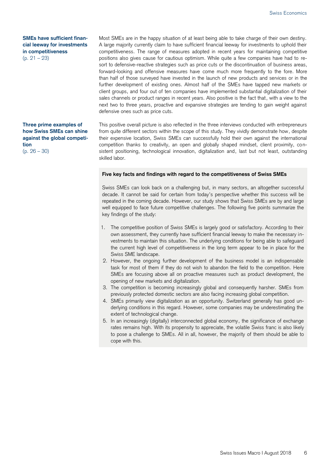#### **SMEs have sufficient financial leeway for investments in competitiveness** (p. 21 – 23)

### **Three prime examples of how Swiss SMEs can shine against the global competition**

(p. 26 – 30)

Most SMEs are in the happy situation of at least being able to take charge of their own destiny. A large majority currently claim to have sufficient financial leeway for investments to uphold their competitiveness. The range of measures adopted in recent years for maintaining competitive positions also gives cause for cautious optimism. While quite a few companies have had to resort to defensive-reactive strategies such as price cuts or the discontinuation of business areas, forward-looking and offensive measures have come much more frequently to the fore. More than half of those surveyed have invested in the launch of new products and services or in the further development of existing ones. Almost half of the SMEs have tapped new markets or client groups, and four out of ten companies have implemented substantial digitalization of their sales channels or product ranges in recent years. Also positive is the fact that, with a view to the next two to three years, proactive and expansive strategies are tending to gain weight against defensive ones such as price cuts.

This positive overall picture is also reflected in the three interviews conducted with entrepreneurs from quite different sectors within the scope of this study. They vividly demonstrate how, despite their expensive location, Swiss SMEs can successfully hold their own against the international competition thanks to creativity, an open and globally shaped mindset, client proximity, consistent positioning, technological innovation, digitalization and, last but not least, outstanding skilled labor.

#### **Five key facts and findings with regard to the competitiveness of Swiss SMEs**

Swiss SMEs can look back on a challenging but, in many sectors, an altogether successful decade. It cannot be said for certain from today's perspective whether this success will be repeated in the coming decade. However, our study shows that Swiss SMEs are by and large well equipped to face future competitive challenges. The following five points summarize the key findings of the study:

- 1. The competitive position of Swiss SMEs is largely good or satisfactory. According to their own assessment, they currently have sufficient financial leeway to make the necessary investments to maintain this situation. The underlying conditions for being able to safeguard the current high level of competitiveness in the long term appear to be in place for the Swiss SME landscape.
- 2. However, the ongoing further development of the business model is an indispensable task for most of them if they do not wish to abandon the field to the competition. Here SMEs are focusing above all on proactive measures such as product development, the opening of new markets and digitalization.
- 3. The competition is becoming increasingly global and consequently harsher. SMEs from previously protected domestic sectors are also facing increasing global competition.
- 4. SMEs primarily view digitalization as an opportunity. Switzerland generally has good underlying conditions in this regard. However, some companies may be underestimating the extent of technological change.
- 5. In an increasingly (digitally) interconnected global economy, the significance of exchange rates remains high. With its propensity to appreciate, the volatile Swiss franc is also likely to pose a challenge to SMEs. All in all, however, the majority of them should be able to cope with this.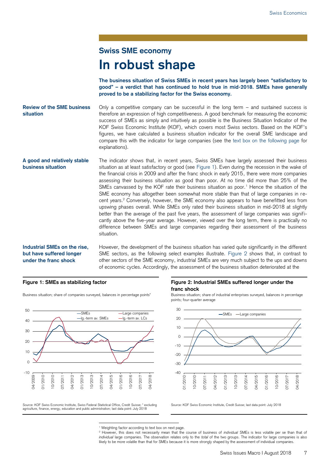### **Swiss SME economy In robust shape**

**The business situation of Swiss SMEs in recent years has largely been "satisfactory to good" – a verdict that has continued to hold true in mid-2018. SMEs have generally proved to be a stabilizing factor for the Swiss economy.**

Only a competitive company can be successful in the long term – and sustained success is therefore an expression of high competitiveness. A good benchmark for measuring the economic success of SMEs as simply and intuitively as possible is the Business Situation Indicator of the KOF Swiss Economic Institute (KOF), which covers most Swiss sectors. Based on the KOF's figures, we have calculated a business situation indicator for the overall SME landscape and compare this with the indicator for large companies (see the text box on the following page for explanations). **Review of the SME business situation**

The indicator shows that, in recent years, Swiss SMEs have largely assessed their business situation as at least satisfactory or good (see Figure 1). Even during the recession in the wake of the financial crisis in 2009 and after the franc shock in early 2015, there were more companies assessing their business situation as good than poor. At no time did more than 25% of the SMEs canvassed by the KOF rate their business situation as poor.<sup>1</sup> Hence the situation of the SME economy has altogether been somewhat more stable than that of large companies in recent years.<sup>2</sup> Conversely, however, the SME economy also appears to have benefitted less from upswing phases overall. While SMEs only rated their business situation in mid-2018 at slightly better than the average of the past five years, the assessment of large companies was significantly above the five-year average. However, viewed over the long term, there is practically no difference between SMEs and large companies regarding their assessment of the business situation. **A good and relatively stable business situation**

#### **Industrial SMEs on the rise, but have suffered longer under the franc shock**

However, the development of the business situation has varied quite significantly in the different SME sectors, as the following select examples illustrate. Figure 2 shows that, in contrast to other sectors of the SME economy, industrial SMEs are very much subject to the ups and downs of economic cycles. Accordingly, the assessment of the business situation deteriorated at the

Business situation; share of companies surveyed, balances in percentage points\* Business situation; share of industrial enterprises surveyed, balances in percentage



Source: KOF Swiss Economic Institute, Swiss Federal Statistical Office, Credit Suisse; \* excluding agriculture, finance, energy, education and public administration; last data point: July 2018

**Figure 1: SMEs as stabilizing factor Figure 2: Industrial SMEs suffered longer under the franc shock**

points; four-quarter average



Source: KOF Swiss Economic Institute, Credit Suisse; last data point: July 2018

-<sup>1</sup> Weighting factor according to text box on next page.

<sup>2</sup> However, this does not necessarily mean that the course of business of *individual* SMEs is less volatile per se than that of *individual* large companies. The observation relates only to the *total* of the two groups. The indicator for large companies is also likely to be more volatile than that for SMEs because it is more strongly shaped by the assessment of individual companies.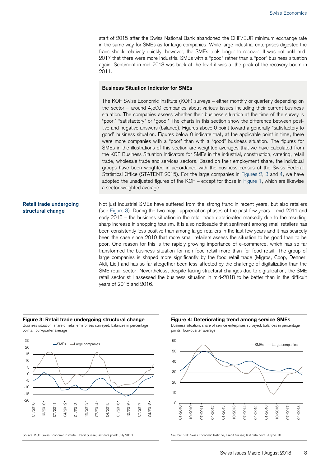start of 2015 after the Swiss National Bank abandoned the CHF/EUR minimum exchange rate in the same way for SMEs as for large companies. While large industrial enterprises digested the franc shock relatively quickly, however, the SMEs took longer to recover. It was not until mid-2017 that there were more industrial SMEs with a "good" rather than a "poor" business situation again. Sentiment in mid-2018 was back at the level it was at the peak of the recovery boom in 2011.

#### **Business Situation Indicator for SMEs**

The KOF Swiss Economic Institute (KOF) surveys – either monthly or quarterly depending on the sector – around 4,500 companies about various issues including their current business situation. The companies assess whether their business situation at the time of the survey is "poor," "satisfactory" or "good." The charts in this section show the difference between positive and negative answers (balance). Figures above 0 point toward a generally "satisfactory to good" business situation. Figures below 0 indicate that, at the applicable point in time, there were more companies with a "poor" than with a "good" business situation. The figures for SMEs in the illustrations of this section are weighted averages that we have calculated from the KOF Business Situation Indicators for SMEs in the industrial, construction, catering, retail trade, wholesale trade and services sectors. Based on their employment share, the individual groups have been weighted in accordance with the business census of the Swiss Federal Statistical Office (STATENT 2015). For the large companies in Figures 2, 3 and 4, we have adopted the unadjusted figures of the KOF – except for those in Figure 1, which are likewise a sector-weighted average.

#### **Retail trade undergoing structural change**

Not just industrial SMEs have suffered from the strong franc in recent years, but also retailers (see Figure 3). During the two major appreciation phases of the past few years – mid-2011 and early 2015 – the business situation in the retail trade deteriorated markedly due to the resulting sharp increase in shopping tourism. It is also noticeable that sentiment among small retailers has been consistently less positive than among large retailers in the last few years and it has scarcely been the case since 2010 that more small retailers assess the situation to be good than to be poor. One reason for this is the rapidly growing importance of e-commerce, which has so far transformed the business situation for non-food retail more than for food retail. The group of large companies is shaped more significantly by the food retail trade (Migros, Coop, Denner, Aldi, Lidl) and has so far altogether been less affected by the challenge of digitalization than the SME retail sector. Nevertheless, despite facing structural changes due to digitalization, the SME retail sector still assessed the business situation in mid-2018 to be better than in the difficult years of 2015 and 2016.

#### **Figure 3: Retail trade undergoing structural change Figure 4: Deteriorating trend among service SMEs**

Business situation; share of retail enterprises surveyed, balances in percentage points; four-quarter average



Business situation; share of service enterprises surveyed, balances in percentage points; four-quarter average



Source: KOF Swiss Economic Institute, Credit Suisse; last data point: July 2018 Source: KOF Swiss Economic Institute, Credit Suisse; last data point: July 2018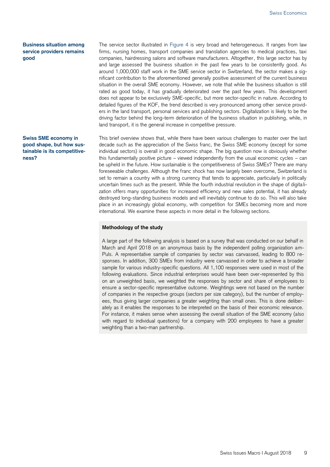#### **Business situation among service providers remains good**

#### **Swiss SME economy in good shape, but how sustainable is its competitiveness?**

The service sector illustrated in Figure 4 is very broad and heterogeneous. It ranges from law firms, nursing homes, transport companies and translation agencies to medical practices, taxi companies, hairdressing salons and software manufacturers. Altogether, this large sector has by and large assessed the business situation in the past few years to be consistently good. As around 1,000,000 staff work in the SME service sector in Switzerland, the sector makes a significant contribution to the aforementioned generally positive assessment of the current business situation in the overall SME economy. However, we note that while the business situation is still rated as good today, it has gradually deteriorated over the past few years. This development does not appear to be exclusively SME-specific, but more sector-specific in nature. According to detailed figures of the KOF, the trend described is very pronounced among other service providers in the land transport, personal services and publishing sectors. Digitalization is likely to be the driving factor behind the long-term deterioration of the business situation in publishing, while, in land transport, it is the general increase in competitive pressure.

This brief overview shows that, while there have been various challenges to master over the last decade such as the appreciation of the Swiss franc, the Swiss SME economy (except for some individual sectors) is overall in good economic shape. The big question now is obviously whether this fundamentally positive picture – viewed independently from the usual economic cycles – can be upheld in the future. How sustainable is the competitiveness of Swiss SMEs? There are many foreseeable challenges. Although the franc shock has now largely been overcome, Switzerland is set to remain a country with a strong currency that tends to appreciate, particularly in politically uncertain times such as the present. While the fourth industrial revolution in the shape of digita lization offers many opportunities for increased efficiency and new sales potential, it has already destroyed long-standing business models and will inevitably continue to do so. This will also take place in an increasingly global economy, with competition for SMEs becoming more and more international. We examine these aspects in more detail in the following sections.

#### **Methodology of the study**

A large part of the following analysis is based on a survey that was conducted on our behalf in March and April 2018 on an anonymous basis by the independent polling organization am-Puls. A representative sample of companies by sector was canvassed, leading to 800 responses. In addition, 300 SMEs from industry were canvassed in order to achieve a broader sample for various industry-specific questions. All 1,100 responses were used in most of the following evaluations. Since industrial enterprises would have been over-represented by this on an unweighted basis, we weighted the responses by sector and share of employees to ensure a sector-specific representative outcome. Weightings were not based on the number of companies in the respective groups (sectors per size category), but the number of employees, thus giving larger companies a greater weighting than small ones. This is done deliberately as it enables the responses to be interpreted on the basis of their economic relevance. For instance, it makes sense when assessing the overall situation of the SME economy (also with regard to individual questions) for a company with 200 employees to have a greater weighting than a two-man partnership.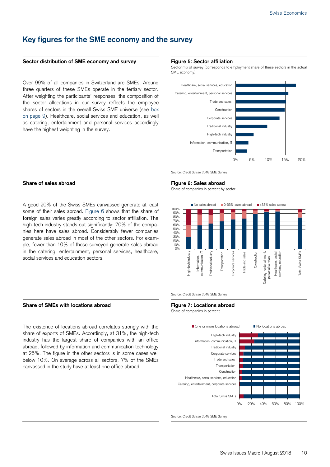### **Key figures for the SME economy and the survey**

#### **Sector distribution of SME economy and survey Figure 5: Sector affiliation**

Over 99% of all companies in Switzerland are SMEs. Around three quarters of these SMEs operate in the tertiary sector. After weighting the participants' responses, the composition of the sector allocations in our survey reflects the employee shares of sectors in the overall Swiss SME universe (see box on page 9). Healthcare, social services and education, as well as catering, entertainment and personal services accordingly have the highest weighting in the survey.

Sector mix of survey (corresponds to employment share of these sectors in the actual SME economy)



Source: Credit Suisse 2018 SME Survey

#### **Share of sales abroad Figure 6: Sales abroad**

A good 20% of the Swiss SMEs canvassed generate at least some of their sales abroad. Figure 6 shows that the share of foreign sales varies greatly according to sector affiliation. The high-tech industry stands out significantly: 70% of the companies here have sales abroad. Considerably fewer companies generate sales abroad in most of the other sectors. For example, fewer than 10% of those surveyed generate sales abroad in the catering, entertainment, personal services, healthcare, social services and education sectors.

#### **Share of SMEs with locations abroad Figure 7: Locations abroad**

The existence of locations abroad correlates strongly with the share of exports of SMEs. Accordingly, at 31%, the high-tech industry has the largest share of companies with an office abroad, followed by information and communication technology at 25%. The figure in the other sectors is in some cases well below 10%. On average across all sectors, 7% of the SMEs canvassed in the study have at least one office abroad.

Share of companies in percent by sector





Share of companies in percent



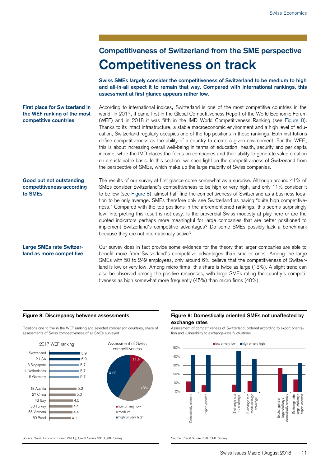## **Competitiveness of Switzerland from the SME perspective Competitiveness on track**

**Swiss SMEs largely consider the competitiveness of Switzerland to be medium to high and all-in-all expect it to remain that way. Compared with international rankings, this assessment at first glance appears rather low.** 

#### According to international indices, Switzerland is one of the most competitive countries in the world. In 2017, it came first in the Global Competitiveness Report of the World Economic Forum (WEF) and in 2018 it was fifth in the IMD World Competitiveness Ranking (see Figure 8). Thanks to its intact infrastructure, a stable macroeconomic environment and a high level of education, Switzerland regularly occupies one of the top positions in these rankings. Both institutions define competitiveness as the ability of a country to create a given environment. For the WEF, this is about increasing overall well-being in terms of education, health, security and per capita income, while the IMD places the focus on companies and their ability to generate value creation on a sustainable basis. In this section, we shed light on the competitiveness of Switzerland from the perspective of SMEs, which make up the large majority of Swiss companies. **First place for Switzerland in the WEF ranking of the most competitive countries**

### The results of our survey at first glance come somewhat as a surprise. Although around 41% of **Good but not outstanding competitiveness according to SMEs**

SMEs consider Switzerland's competitiveness to be high or very high, and only 11% consider it to be low (see Figure 8), almost half find the competitiveness of Switzerland as a business location to be only average. SMEs therefore only see Switzerland as having "quite high competitiveness." Compared with the top positions in the aforementioned rankings, this seems surprisingly low. Interpreting this result is not easy. Is the proverbial Swiss modesty at play here or are the quoted indicators perhaps more meaningful for large companies that are better positioned to implement Switzerland's competitive advantages? Do some SMEs possibly lack a benchmark because they are not internationally active?

#### **Large SMEs rate Switzerland as more competitive**

Our survey does in fact provide some evidence for the theory that larger companies are able to benefit more from Switzerland's competitive advantages than smaller ones. Among the large SMEs with 50 to 249 employees, only around 6% believe that the competitiveness of Switzerland is low or very low. Among micro firms, this share is twice as large (13%). A slight trend can also be observed among the positive responses, with large SMEs rating the country's competitiveness as high somewhat more frequently (45%) than micro firms (40%).

Positions one to five in the WEF ranking and selected comparison countries, share of assessments of Swiss competitiveness of all SMEs surveyed



#### **Figure 8: Discrepancy between assessments Figure 9: Domestically oriented SMEs not unaffected by exchange rates**

Assessment of competitiveness of Switzerland, ordered according to export orientation and vulnerability to exchange-rate fluctuations



48%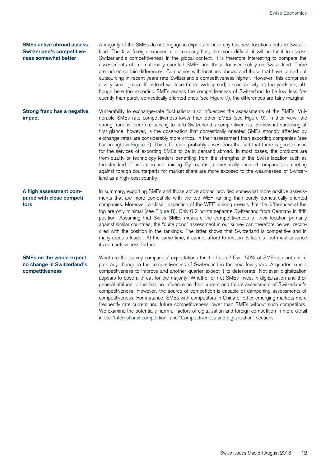#### **SMEs active abroad assess Switzerland's competitiveness somewhat better**

A majority of the SMEs do not engage in exports or have any business locations outside Switzerland. The less foreign experience a company has, the more difficult it will be for it to assess Switzerland's competitiveness in the global context. It is therefore interesting to compare the assessments of internationally oriented SMEs and those focused solely on Switzerland. There are indeed certain differences. Companies with locations abroad and those that have carried out outsourcing in recent years rate Switzerland's competitiveness higher. However, this comprises a very small group. If instead we take (more widespread) export activity as the yardstick, although here too exporting SMEs assess the competitiveness of Switzerland to be low less frequently than purely domestically oriented ones (see Figure 9), the differences are fairly marginal.

Vulnerability to exchange-rate fluctuations also influences the assessments of the SMEs. Vulnerable SMEs rate competitiveness lower than other SMEs (see Figure 9). In their view, the strong franc is therefore serving to curb Switzerland's competitiveness. Somewhat surprising at first glance, however, is the observation that domestically oriented SMEs strongly affected by exchange rates are considerably more critical in their assessment than exporting companies (see bar on right in Figure 9). This difference probably arises from the fact that there is good reason for the services of exporting SMEs to be in demand abroad. In most cases, the products are from quality or technology leaders benefiting from the strengths of the Swiss location such as the standard of innovation and training. By contrast, domestically oriented companies competing against foreign counterparts for market share are more exposed to the weaknesses of Switzerland as a high-cost country. **Strong franc has a negative impact**

In summary, exporting SMEs and those active abroad provided somewhat more positive assessments that are more compatible with the top WEF ranking than purely domestically oriented companies. Moreover, a closer inspection of the WEF ranking reveals that the differences at the top are only minimal (see Figure 8). Only 0.2 points separate Switzerland from Germany in fifth position. Assuming that Swiss SMEs measure the competitiveness of their location primarily against similar countries, the "quite good" assessment in our survey can therefore be well reconciled with the position in the rankings. The latter shows that Switzerland is competitive and in many areas a leader. At the same time, it cannot afford to rest on its laurels, but must advance its competitiveness further. **A high assessment compared with close competitors**

#### **SMEs on the whole expect no change in Switzerland's competitiveness**

What are the survey companies' expectations for the future? Over 50% of SMEs do not anticipate any change in the competitiveness of Switzerland in the next few years. A quarter expect competitiveness to improve and another quarter expect it to deteriorate. Not even digitalization appears to pose a threat for the majority. Whether or not SMEs invest in digitalization and their general attitude to this has no influence on their current and future assessment of Switzerland's competitiveness. However, the source of competition is capable of dampening assessments of competitiveness. For instance, SMEs with competitors in China or other emerging markets more frequently rate current and future competitiveness lower than SMEs without such competitors. We examine the potentially harmful factors of digitalization and foreign competition in more detail in the "International competition" and "Competitiveness and digitalization" sections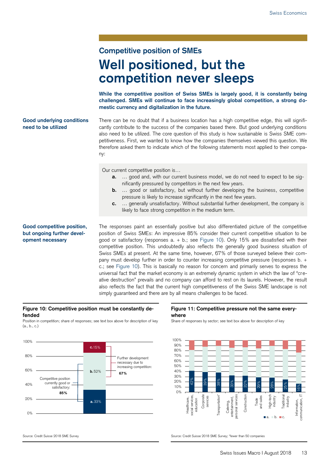## **Competitive position of SMEs Well positioned, but the competition never sleeps**

**While the competitive position of Swiss SMEs is largely good, it is constantly being challenged. SMEs will continue to face increasingly global competition, a strong domestic currency and digitalization in the future.**

#### **Good underlying conditions need to be utilized**

There can be no doubt that if a business location has a high competitive edge, this will significantly contribute to the success of the companies based there. But good underlying conditions also need to be utilized. The core question of this study is how sustainable is Swiss SME competitiveness. First, we wanted to know how the companies themselves viewed this question. We therefore asked them to indicate which of the following statements most applied to their company:

Our current competitive position is…

- **a.** … good and, with our current business model, we do not need to expect to be significantly pressured by competitors in the next few years.
- **b.** ... good or satisfactory, but without further developing the business, competitive pressure is likely to increase significantly in the next few years.
- **c.** … generally unsatisfactory. Without substantial further development, the company is likely to face strong competition in the medium term.

**Good competitive position, but ongoing further development necessary**

The responses paint an essentially positive but also differentiated picture of the competitive position of Swiss SMEs: An impressive 85% consider their current competitive situation to be good or satisfactory (responses a. + b.; see Figure 10). Only 15% are dissatisfied with their competitive position. This undoubtedly also reflects the generally good business situation of Swiss SMEs at present. At the same time, however, 67% of those surveyed believe their company must develop further in order to counter increasing competitive pressure (responses b. + c.; see Figure 10). This is basically no reason for concern and primarily serves to express the universal fact that the market economy is an extremely dynamic system in which the law of "creative destruction" prevails and no company can afford to rest on its laurels. However, the result also reflects the fact that the current high competitiveness of the Swiss SME landscape is not simply guaranteed and there are by all means challenges to be faced.

#### **Figure 10: Competitive position must be constantly defended**

Position in competition; share of responses; see text box above for description of key  $(a, b, c)$ 



#### **Figure 11: Competitive pressure not the same everywhere**

Share of responses by sector; see text box above for description of key



Source: Credit Suisse 2018 SME Survey Survey Source: Credit Suisse 2018 SME Survey; "fewer than 50 companies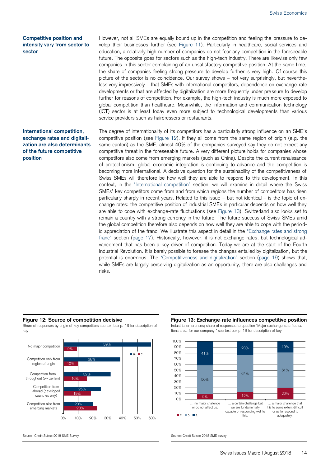#### **Competitive position and intensity vary from sector to sector**

#### **International competition, exchange rates and digitalization are also determinants of the future competitive position**

However, not all SMEs are equally bound up in the competition and feeling the pressure to develop their businesses further (see Figure 11). Particularly in healthcare, social services and education, a relatively high number of companies do not fear any competition in the foreseeable future. The opposite goes for sectors such as the high-tech industry. There are likewise only few companies in this sector complaining of an unsatisfactory competitive position. At the same time, the share of companies feeling strong pressure to develop further is very high. Of course this picture of the sector is no coincidence. Our survey shows – not very surprisingly, but nevertheless very impressively – that SMEs with international competitors, dependence on exchange-rate developments or that are affected by digitalization are more frequently under pressure to develop further for reasons of competition. For example, the high-tech industry is much more exposed to global competition than healthcare. Meanwhile, the information and communication technology (ICT) sector is at least today even more subject to technological developments than various service providers such as hairdressers or restaurants.

The degree of internationality of its competitors has a particularly strong influence on an SME's competitive position (see Figure 12). If they all come from the same region of origin (e.g. the same canton) as the SME, almost 40% of the companies surveyed say they do not expect any competitive threat in the foreseeable future. A very different picture holds for companies whose competitors also come from emerging markets (such as China). Despite the current renaissance of protectionism, global economic integration is continuing to advance and the competition is becoming more international. A decisive question for the sustainability of the competitiveness of Swiss SMEs will therefore be how well they are able to respond to this development. In this context, in the "International competition" section, we will examine in detail where the Swiss SMEs' key competitors come from and from which regions the number of competitors has risen particularly sharply in recent years. Related to this issue – but not identical – is the topic of exchange rates: the competitive position of industrial SMEs in particular depends on how well they are able to cope with exchange-rate fluctuations (see Figure 13). Switzerland also looks set to remain a country with a strong currency in the future. The future success of Swiss SMEs amid the global competition therefore also depends on how well they are able to cope with the periodic appreciation of the franc. We illustrate this aspect in detail in the "Exchange rates and strong franc" section (page 17). Historically, however, it is not exchange rates, but technological advancement that has been a key driver of competition. Today we are at the start of the Fourth Industrial Revolution. It is barely possible to foresee the changes entailed by digitalization, but the potential is enormous. The "Competitiveness and digitalization" section (page 19) shows that, while SMEs are largely perceiving digitalization as an opportunity, there are also challenges and risks.

Share of responses by origin of key competitors see text box p. 13 for description of key



#### **Figure 12: Source of competition decisive Figure 13: Exchange-rate influences competitive position** Industrial enterprises; share of responses to question "Major exchange-rate fluctua-





Source: Credit Suisse 2018 SME Survey Source: Credit Suisse 2018 SME survey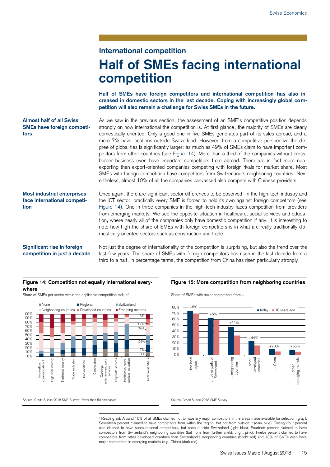## **International competition Half of SMEs facing international competition**

**Half of SMEs have foreign competitors and international competition has also increased in domestic sectors in the last decade. Coping with increasingly global competition will also remain a challenge for Swiss SMEs in the future.** 

#### **Almost half of all Swiss SMEs have foreign competitors**

As we saw in the previous section, the assessment of an SME's competitive position depends strongly on how international the competition is. At first glance, the majority of SMEs are clearly domestically oriented. Only a good one in five SMEs generates part of its sales abroad, and a mere 7% have locations outside Switzerland. However, from a competitive perspective the degree of global ties is significantly larger: as much as 49% of SMEs claim to have important competitors from other countries (see Figure 14). More than a third of the companies without crossborder business even have important competitors from abroad. There are in fact more nonexporting than export-oriented companies competing with foreign rivals for market share. Most SMEs with foreign competition have competitors from Switzerland's neighboring countries. Nevertheless, almost 10% of all the companies canvassed also compete with Chinese providers.

**Most industrial enterprises face international competition**

Once again, there are significant sector differences to be observed. In the high-tech industry and the ICT sector, practically every SME is forced to hold its own against foreign competitors (see Figure 14). One in three companies in the high-tech industry faces competition from providers from emerging markets. We see the opposite situation in healthcare, social services and education, where nearly all of the companies only have domestic competition if any. It is interesting to note how high the share of SMEs with foreign competitors is in what are really traditionally domestically oriented sectors such as construction and trade.

### **Significant rise in foreign competition in just a decade**

Not just the degree of internationality of the competition is surprising, but also the trend over the last few years. The share of SMEs with foreign competitors has risen in the last decade from a third to a half. In percentage terms, the competition from China has risen particularly strongly

#### **Figure 14: Competition not equally international everywhere**

Share of SMEs per sector within the applicable competition radius<sup>3</sup> Share of SMEs with major competitors from ...



**Figure 15: More competition from neighboring countries**



Source: Credit Suisse 2018 SME Survey; \*fewer than 50 companies Surveys Source: Credit Suisse 2018 SME Survey

-<sup>3</sup> Reading aid: Around 10% of all SMEs claimed not to have any major competitors in the areas made available for selection (gray). Seventeen percent claimed to have competitors from within the region, but not from outside it (dark blue). Twenty -four percent also claimed to have supra-regional competitors, but none outside Switzerland (light blue). Fourteen percent claimed to have competitors from Switzerland's neighboring countries (but none from further afield, bright pink). Twelve percent claimed to have competitors from other developed countries than Switzerland's neighboring countries (bright red) and 13% of SMEs even have major competitors in emerging markets (e.g. China) (dark red).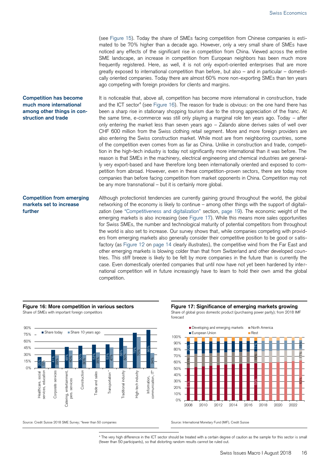(see Figure 15). Today the share of SMEs facing competition from Chinese companies is estimated to be 70% higher than a decade ago. However, only a very small share of SMEs have noticed any effects of the significant rise in competition from China. Viewed across the entire SME landscape, an increase in competition from European neighbors has been much more frequently registered. Here, as well, it is not only export-oriented enterprises that are more greatly exposed to international competition than before, but also – and in particular – domestically oriented companies. Today there are almost 60% more non-exporting SMEs than ten years ago competing with foreign providers for clients and margins.

It is noticeable that, above all, competition has become more international in construction, trade and the ICT sector<sup>4</sup> (see Figure 16). The reason for trade is obvious: on the one hand there has been a sharp rise in stationary shopping tourism due to the strong appreciation of the franc. At the same time, e-commerce was still only playing a marginal role ten years ago. Today – after only entering the market less than seven years ago – Zalando alone derives sales of well over CHF 600 million from the Swiss clothing retail segment. More and more foreign providers are also entering the Swiss construction market. While most are from neighboring countries, some of the competition even comes from as far as China. Unlike in construction and trade, competition in the high-tech industry is today not significantly more international than it was before. The reason is that SMEs in the machinery, electrical engineering and chemical industries are generally very export-based and have therefore long been internationally oriented and exposed to competition from abroad. However, even in these competition-proven sectors, there are today more companies than before facing competition from market opponents in China. Competition may not be any more transnational – but it is certainly more global. **Competition has become much more international among other things in con-**

#### **Competition from emerging markets set to increase further**

**struction and trade**

Although protectionist tendencies are currently gaining ground throughout the world, the global networking of the economy is likely to continue – among other things with the support of digitalization (see "Competitiveness and digitalization" section, page 19). The economic weight of the emerging markets is also increasing (see Figure 17). While this means more sales opportunities for Swiss SMEs, the number and technological maturity of potential competitors from throughout the world is also set to increase. Our survey shows that, while companies competing with providers from emerging markets also generally consider their competitive position to be good or satisfactory (as Figure 12 on page 14 clearly illustrates), the competitive wind from the Far East and other emerging markets is blowing colder than that from Switzerland and other developed countries. This stiff breeze is likely to be felt by more companies in the future than is currently the case. Even domestically oriented companies that until now have not yet been hardened by international competition will in future increasingly have to learn to hold their own amid the global competition.



-

#### Figure 16: More competition in various sectors **Figure 17: Significance of emerging markets growing** Share of SMEs with important foreign competitors Share of global gross domestic product (purchasing power parity); from 2018 IMF



<sup>4</sup> The very high difference in the ICT sector should be treated with a certain degree of caution as the sample for this sector is small (fewer than 50 participants), so that distorting random results cannot be ruled out.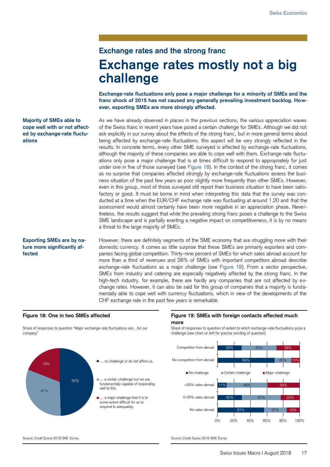### **Exchange rates and the strong franc Exchange rates mostly not a big challenge**

**Exchange-rate fluctuations only pose a major challenge for a minority of SMEs and the franc shock of 2015 has not caused any generally prevailing investment backlog. However, exporting SMEs are more strongly affected.**

#### **Majority of SMEs able to cope well with or not affected by exchange-rate fluctuations**

**Exporting SMEs are by nature more significantly affected**

As we have already observed in places in the previous sections, the various appreciation waves of the Swiss franc in recent years have posed a certain challenge for SMEs. Although we did not ask explicitly in our survey about the effects of the strong franc, but in more general terms about being affected by exchange-rate fluctuations, this aspect will be very strongly reflected in the results. In concrete terms, every other SME surveyed is affected by exchange-rate fluctuations, although the majority of these companies are able to cope well with them. Exchange-rate fluctuations only pose a major challenge that is at times difficult to respond to appropriately for just under one in five of those surveyed (see Figure 18). In the context of the strong franc, it comes as no surprise that companies affected strongly by exchange-rate fluctuations assess the business situation of the past few years as poor slightly more frequently than other SMEs. However, even in this group, most of those surveyed still report their business situation to have been satisfactory or good. It must be borne in mind when interpreting this data that the survey was conducted at a time when the EUR/CHF exchange rate was fluctuating at around 1.20 and that the assessment would almost certainly have been more negative in an appreciation phase. Nevertheless, the results suggest that while the prevailing strong franc poses a challenge to the Swiss SME landscape and is partially exerting a negative impact on competitiveness, it is by no means a threat to the large majority of SMEs.

However, there are definitely segments of the SME economy that are struggling more with their domestic currency. It comes as little surprise that these SMEs are primarily exporters and companies facing global competition. Thirty-nine percent of SMEs for which sales abroad account for more than a third of revenues and 28% of SMEs with important competitors abroad describe exchange-rate fluctuations as a major challenge (see Figure 19). From a sector perspective, SMEs from industry and catering are especially negatively affected by the strong franc. In the high-tech industry, for example, there are hardly any companies that are not affected by exchange rates. However, it can also be said for this group of companies that a majority is fundamentally able to cope well with currency fluctuations, which in view of the developments of the CHF exchange rate in the past few years is remarkable.

#### **Figure 18: One in two SMEs affected Figure 19: SMEs with foreign contacts affected much more**

Share of responses to question of extent to which exchange-rate fluctuations pose a challenge (see chart on left for precise wording of question)



Share of responses to question "Major exchange-rate fluctuations are…for our company"



#### Source: Credit Suisse 2018 SME Survey Source: Credit Suisse 2018 SME Survey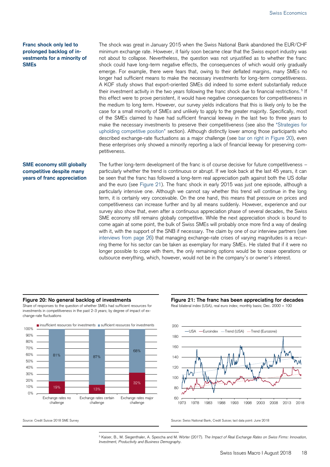#### **Franc shock only led to prolonged backlog of investments for a minority of SMEs**

The shock was great in January 2015 when the Swiss National Bank abandoned the EUR/CHF minimum exchange rate. However, it fairly soon became clear that the Swiss export industry was not about to collapse. Nevertheless, the question was not unjustified as to whether the franc shock could have long-term negative effects, the consequences of which would only gradually emerge. For example, there were fears that, owing to their deflated margins, many SMEs no longer had sufficient means to make the necessary investments for long-term competitiveness. A KOF study shows that export-oriented SMEs did indeed to some extent substantially reduce their investment activity in the two years following the franc shock due to financial restrictions.<sup>5</sup> If this effect were to prove persistent, it would have negative consequences for competitiveness in the medium to long term. However, our survey yields indications that this is likely only to be the case for a small minority of SMEs and unlikely to apply to the greater majority. Specifically, most of the SMEs claimed to have had sufficient financial leeway in the last two to three years to make the necessary investments to preserve their competitiveness (see also the "Strategies for upholding competitive position" section). Although distinctly lower among those participants who described exchange-rate fluctuations as a major challenge (see bar on right in Figure 20), even these enterprises only showed a minority reporting a lack of financial leeway for preserving competitiveness.

#### **SME economy still globally competitive despite many years of franc appreciation**

The further long-term development of the franc is of course decisive for future competitiveness – particularly whether the trend is continuous or abrupt. If we look back at the last 45 years, it can be seen that the franc has followed a long-term real appreciation path against both the US dollar and the euro (see Figure 21). The franc shock in early 2015 was just one episode, although a particularly intensive one. Although we cannot say whether this trend will continue in the long term, it is certainly very conceivable. On the one hand, this means that pressure on prices and competitiveness can increase further and by all means suddenly. However, experience and our survey also show that, even after a continuous appreciation phase of several decades, the Swiss SME economy still remains globally competitive. While the next appreciation shock is bound to come again at some point, the bulk of Swiss SMEs will probably once more find a way of dealing with it, with the support of the SNB if necessary. The claim by one of our interview partners (see interviews from page 26) that managing exchange-rate crises of varying magnitudes is a recurring theme for his sector can be taken as exemplary for many SMEs. He stated that if it were no longer possible to cope with them, the only remaining options would be to cease operations or outsource everything, which, however, would not be in the company's or owner's interest.

Share of responses to the question of whether SMEs had sufficient resources for investments in competitiveness in the past 2-3 years; by degree of impact of exchange-rate fluctuations



**Figure 20: No general backlog of investments Figure 21: The franc has been appreciating for decades** Real bilateral index (USA), real euro index; monthly basis; Dec. 2000 = 100



-<sup>5</sup> Kaiser, B., M. Siegenthaler, A. Spescha and M. Wörter (2017). *The Impact of Real Exchange Rates on Swiss Firms: Innovation, Investment, Productivity and Business Demography.*

Source: Credit Suisse 2018 SME Survey Survey Source: Swiss National Bank, Credit Suisse; last data point: June 2018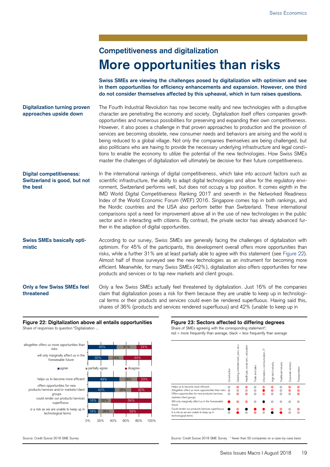## **Competitiveness and digitalization More opportunities than risks**

**Swiss SMEs are viewing the challenges posed by digitalization with optimism and see in them opportunities for efficiency enhancements and expansion. However, one third do not consider themselves affected by this upheaval, which in turn raises questions.**

The Fourth Industrial Revolution has now become reality and new technologies with a disruptive character are penetrating the economy and society. Digitalization itself offers companies growth opportunities and numerous possibilities for preserving and expanding their own competitiveness. However, it also poses a challenge in that proven approaches to production and the provision of services are becoming obsolete, new consumer needs and behaviors are arising and the world is being reduced to a global village. Not only the companies themselves are being challenged, but also politicians who are having to provide the necessary underlying infrastructure and legal conditions to enable the economy to utilize the potential of the new technologies. How Swiss SMEs master the challenges of digitalization will ultimately be decisive for their future competitiveness. **Digitalization turning proven approaches upside down**

In the international rankings of digital competitiveness, which take into account factors such as scientific infrastructure, the ability to adapt digital technologies and allow for the regulatory environment, Switzerland performs well, but does not occupy a top position. It comes eighth in the IMD World Digital Competitiveness Ranking 2017 and seventh in the Networked Readiness Index of the World Economic Forum (WEF) 2016. Singapore comes top in both rankings, and the Nordic countries and the USA also perform better than Switzerland. These international comparisons spot a need for improvement above all in the use of new technologies in the public sector and in interacting with citizens. By contrast, the private sector has already advanced further in the adaption of digital opportunities. **Digital competitiveness: Switzerland is good, but not the best**

According to our survey, Swiss SMEs are generally facing the challenges of digitalization with optimism. For 45% of the participants, this development overall offers more opportunities than risks, while a further 31% are at least partially able to agree with this statement (see Figure 22). Almost half of those surveyed see the new technologies as an instrument for becoming more efficient. Meanwhile, for many Swiss SMEs (42%), digitalization also offers opportunities for new products and services or to tap new markets and client groups. **Swiss SMEs basically optimistic**

Only a few Swiss SMEs actually feel threatened by digitalization. Just 16% of the companies claim that digitalization poses a risk for them because they are unable to keep up in technological terms or their products and services could even be rendered superfluous. Having said this, shares of 36% (products and services rendered superfluous) and 42% (unable to keep up in **Only a few Swiss SMEs feel threatened**

#### **Figure 22: Digitalization above all entails opportunities Figure 23: Sectors affected to differing degrees** Share of responses to question "Digitalization ... Share of SMEs agreeing with the corresponding statement\*





 $red = more frequently than average, black = less frequently than average$ 



Source: Credit Suisse 2018 SME Survey Source: Credit Suisse 2018 SME Survey \* fewer than 50 companies on a case-by-case basis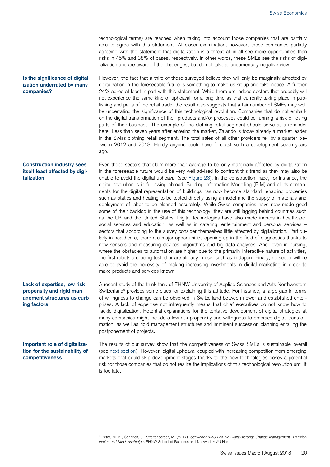technological terms) are reached when taking into account those companies that are partially able to agree with this statement. At closer examination, however, those companies partially agreeing with the statement that digitalization is a threat all-in-all see more opportunities than risks in 45% and 38% of cases, respectively. In other words, these SMEs see the risks of digitalization and are aware of the challenges, but do not take a fundamentally negative view.

However, the fact that a third of those surveyed believe they will only be marginally affected by digitalization in the foreseeable future is something to make us sit up and take notice. A further 24% agree at least in part with this statement. While there are indeed sectors that probably will not experience the same kind of upheaval for a long time as that currently taking place in publishing and parts of the retail trade, the result also suggests that a fair number of SMEs may well be underrating the significance of this technological revolution. Companies that do not embark on the digital transformation of their products and/or processes could be running a risk of losing parts of their business. The example of the clothing retail segment should serve as a reminder here. Less than seven years after entering the market, Zalando is today already a market leader in the Swiss clothing retail segment. The total sales of all other providers fell by a quarter between 2012 and 2018. Hardly anyone could have forecast such a development seven years ago.

Even those sectors that claim more than average to be only marginally affected by digitalization in the foreseeable future would be very well advised to confront this trend as they may also be unable to avoid the digital upheaval (see Figure 23). In the construction trade, for instance, the digital revolution is in full swing abroad. Building Information Modelling (BIM) and all its components for the digital representation of buildings has now become standard, enabling properties such as statics and heating to be tested directly using a model and the supply of materials and deployment of labor to be planned accurately. While Swiss companies have now made good some of their backlog in the use of this technology, they are still lagging behind countries such as the UK and the United States. Digital technologies have also made inroads in healthcare, social services and education, as well as in catering, entertainment and personal services sectors that according to the survey consider themselves little affected by digitalization. Particularly in healthcare, there are major opportunities opening up in the field of diagnostics thanks to new sensors and measuring devices, algorithms and big data analyses. And, even in nursing, where the obstacles to automation are higher due to the primarily interactive nature of activities, the first robots are being tested or are already in use, such as in Japan. Finally, no sector will be able to avoid the necessity of making increasing investments in digital marketing in order to make products and services known.

A recent study of the think tank of FHNW University of Applied Sciences and Arts Northwestern Switzerland<sup>6</sup> provides some clues for explaining this attitude. For instance, a large gap in terms of willingness to change can be observed in Switzerland between newer and established enterprises. A lack of expertise not infrequently means that chief executives do not know how to tackle digitalization. Potential explanations for the tentative development of digital strategies at many companies might include a low risk propensity and willingness to embrace digital transformation, as well as rigid management structures and imminent succession planning entailing the postponement of projects.

#### **Important role of digitalization for the sustainability of competitiveness**

**Lack of expertise, low risk propensity and rigid management structures as curb-**

**ing factors** 

**Is the significance of digitalization underrated by many** 

**Construction industry sees itself least affected by digi-**

**companies?**

**talization**

-

The results of our survey show that the competitiveness of Swiss SMEs is sustainable overall (see next section). However, digital upheaval coupled with increasing competition from emerging markets that could skip development stages thanks to the new technologies poses a potential risk for those companies that do not realize the implications of this technological revolution until it is too late.

<sup>6</sup> Peter, M. K., Sennrich, J., Streitenberger, M. (2017): *Schweizer KMU und die Digitalisierung: Change Management, Transformation und KMU-Nachfolge*, FHNW School of Business and Netzwerk KMU Next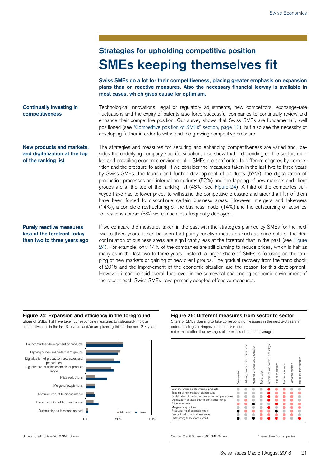### **Strategies for upholding competitive position SMEs keeping themselves fit**

**Swiss SMEs do a lot for their competitiveness, placing greater emphasis on expansion plans than on reactive measures. Also the necessary financial leeway is available in most cases, which gives cause for optimism.**

**Continually investing in competitiveness**

**New products and markets, and digitalization at the top** 

**of the ranking list**

Technological innovations, legal or regulatory adjustments, new competitors, exchange-rate fluctuations and the expiry of patents also force successful companies to continually review and enhance their competitive position. Our survey shows that Swiss SMEs are fundamentally well positioned (see "Competitive position of SMEs" section, page 13), but also see the necessity of developing further in order to withstand the growing competitive pressure.

The strategies and measures for securing and enhancing competitiveness are varied and, besides the underlying company-specific situation, also show that – depending on the sector, market and prevailing economic environment – SMEs are confronted to different degrees by competition and the pressure to adapt. If we consider the measures taken in the last two to three years by Swiss SMEs, the launch and further development of products (57%), the digitalization of production processes and internal procedures (52%) and the tapping of new markets and client groups are at the top of the ranking list (48%; see Figure 24). A third of the companies surveyed have had to lower prices to withstand the competitive pressure and around a fifth of them have been forced to discontinue certain business areas. However, mergers and takeovers (14%), a complete restructuring of the business model (14%) and the outsourcing of activities to locations abroad (3%) were much less frequently deployed.

#### **Purely reactive measures less at the forefront today than two to three years ago**

If we compare the measures taken in the past with the strategies planned by SMEs for the next two to three years, it can be seen that purely reactive measures such as price cuts or the discontinuation of business areas are significantly less at the forefront than in the past (see Figure 24). For example, only 14% of the companies are still planning to reduce prices, which is half as many as in the last two to three years. Instead, a larger share of SMEs is focusing on the tapping of new markets or gaining of new client groups. The gradual recovery from the franc shock of 2015 and the improvement of the economic situation are the reason for this development. However, it can be said overall that, even in the somewhat challenging economic environment of the recent past, Swiss SMEs have primarily adopted offensive measures.

### **Figure 24: Expansion and efficiency in the foreground Figure 25: Different measures from sector to sector**

Share of SMEs that have taken corresponding measures to safeguard/improve competitiveness in the last 3-5 years and/or are planning this for the next 2-3 years



Share of SMEs planning to take corresponding measures in the next 2-3 years in order to safeguard/improve competitiveness;  $red = more often than average, black = less often than average$ 



Source: Credit Suisse 2018 SME Survey Source: Credit Suisse 2018 SME Survey \* fewer than 50 companies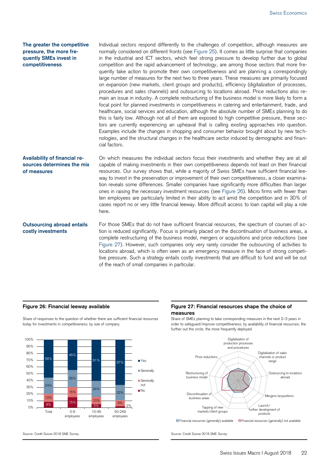#### **The greater the competitive pressure, the more frequently SMEs invest in competitiveness**

Individual sectors respond differently to the challenges of competition, although measures are normally considered on different fronts (see Figure 25). It comes as little surprise that companies in the industrial and ICT sectors, which feel strong pressure to develop further due to global competition and the rapid advancement of technology, are among those sectors that more frequently take action to promote their own competitiveness and are planning a correspondingly large number of measures for the next two to three years. These measures are primarily focused on expansion (new markets, client groups and products), efficiency (digitalization of processes, procedures and sales channels) and outsourcing to locations abroad. Price reductions also remain an issue in industry. A complete restructuring of the business model is more likely to form a focal point for planned investments in competitiveness in catering and entertainment, trade, and healthcare, social services and education, although the absolute number of SMEs planning to do this is fairly low. Although not all of them are exposed to high competitive pressure, these sectors are currently experiencing an upheaval that is calling existing approaches into question. Examples include the changes in shopping and consumer behavior brought about by new technologies, and the structural changes in the healthcare sector induced by demographic and financial factors.

#### **Availability of financial resources determines the mix of measures**

On which measures the individual sectors focus their investments and whether they are at all capable of making investments in their own competitiveness depends not least on their financial resources. Our survey shows that, while a majority of Swiss SMEs have sufficient financial leeway to invest in the preservation or improvement of their own competitiveness, a closer examination reveals some differences. Smaller companies have significantly more difficulties than larger ones in raising the necessary investment resources (see Figure 26). Micro firms with fewer than ten employees are particularly limited in their ability to act amid the competition and in 30% of cases report no or very little financial leeway. More difficult access to loan capital will play a role here.

### **Outsourcing abroad entails costly investments**

For those SMEs that do not have sufficient financial resources, the spectrum of courses of action is reduced significantly. Focus is primarily placed on the discontinuation of business areas, a complete restructuring of the business model, mergers or acquisitions and price reductions (see Figure 27). However, such companies only very rarely consider the outsourcing of activities to locations abroad, which is often seen as an emergency measure in the face of strong competitive pressure. Such a strategy entails costly investments that are difficult to fund and will be out of the reach of small companies in particular.

Share of responses to the question of whether there are sufficient financial resources today for investments in competitiveness; by size of company



#### **Figure 26: Financial leeway available Figure 27: Financial resources shape the choice of measures**

Share of SMEs planning to take corresponding measures in the next 2–3 years in order to safeguard/improve competitiveness; by availability of financial resources; the further out the circle, the more frequently deployed



Source: Credit Suisse 2018 SME Survey Source: Credit Suisse 2018 SME Survey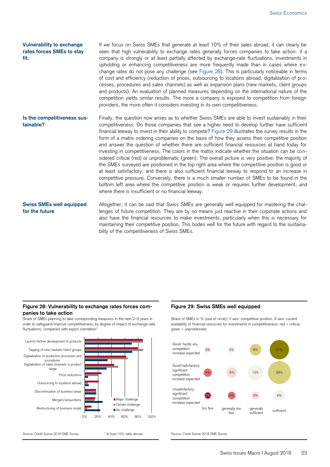#### **Vulnerability to exchange rates forces SMEs to stay fit.**

If we focus on Swiss SMEs that generate at least 10% of their sales abroad, it can clearly be seen that high vulnerability to exchange rates generally forces companies to take action: if a company is strongly or at least partially affected by exchange-rate fluctuations, investments in upholding or enhancing competitiveness are more frequently made than in cases where exchange rates do not pose any challenge (see Figure 28). This is particularly noticeable in terms of cost and efficiency (reduction of prices, outsourcing to locations abroad, digitalization of processes, procedures and sales channels) as well as expansion plans (new markets, client groups and products). An evaluation of planned measures depending on the international nature of the competition yields similar results. The more a company is exposed to competition from foreign providers, the more often it considers investing in its own competitiveness.

Finally, the question now arises as to whether Swiss SMEs are able to invest sustainably in their competitiveness. Do those companies that see a higher need to develop further have sufficient financial leeway to invest in their ability to compete? Figure 29 illustrates the survey results in the form of a matrix ordering companies on the basis of how they assess their competitive position and answer the question of whether there are sufficient financial resources at hand today for investing in competitiveness. The colors in the matrix indicate whether the situation can be considered critical (red) or unproblematic (green). The overall picture is very positive: the majority of the SMEs surveyed are positioned in the top right area where the competitive position is good or at least satisfactory, and there is also sufficient financial leeway to respond to an increase in competitive pressure. Conversely, there is a much smaller number of SMEs to be found in the bottom left area where the competitive position is weak or requires further development, and where there is insufficient or no financial leeway. **Is the competitiveness sustainable?**

**Swiss SMEs well equipped for the future**

Altogether, it can be said that Swiss SMEs are generally well equipped for mastering the challenges of future competition. They are by no means just reactive in their corporate actions and also have the financial resources to make investments, particularly when this is necessary for maintaining their competitive position. This bodes well for the future with regard to the sustainability of the competitiveness of Swiss SMEs.

#### **Figure 28: Vulnerability to exchange rates forces companies to take action**

Share of SMEs planning to take corresponding measures in the next 2–3 years in order to safeguard/improve competitiveness; by degree of impact of exchange-rate fluctuations; companies with export orientation<sup>\*</sup>



### **Figure 29: Swiss SMEs well equipped**

Share of SMEs in % (size of circle); Y axis: competitive position, X axis: current availability of financial resources for investments in competitiveness; red = critical,  $area = unproblematic$ 



Source: Credit Suisse 2018 SME Survey \* At least 10% sales abroad Source: Credit Suisse 2018 SME Survey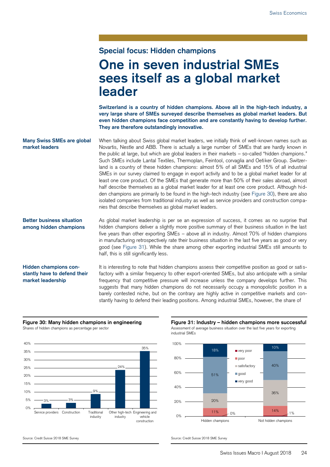### **Special focus: Hidden champions**

## **One in seven industrial SMEs sees itself as a global market leader**

**Switzerland is a country of hidden champions. Above all in the high-tech industry, a very large share of SMEs surveyed describe themselves as global market leaders. But even hidden champions face competition and are constantly having to develop further. They are therefore outstandingly innovative.**

When talking about Swiss global market leaders, we initially think of well-known names such as Novartis, Nestle and ABB. There is actually a large number of SMEs that are hardly known in the public at large, but which are global leaders in their markets – so-called "hidden champions." Such SMEs include Lantal Textiles, Thermoplan, Feintool, corvaglia and Oetiker Group. Switzerland is a country of these hidden champions: almost 5% of all SMEs and 15% of all industrial SMEs in our survey claimed to engage in export activity and to be a global market leader for at least one core product. Of the SMEs that generate more than 50% of their sales abroad, almost half describe themselves as a global market leader for at least one core product. Although hidden champions are primarily to be found in the high-tech industry (see Figure 30), there are also isolated companies from traditional industry as well as service providers and construction companies that describe themselves as global market leaders. **Many Swiss SMEs are global market leaders**

As global market leadership is per se an expression of success, it comes as no surprise that hidden champions deliver a slightly more positive summary of their business situation in the last five years than other exporting SMEs – above all in industry. Almost 70% of hidden champions in manufacturing retrospectively rate their business situation in the last five years as good or very good (see Figure 31). While the share among other exporting industrial SMEs still amounts to half, this is still significantly less. **Better business situation among hidden champions**

#### **Hidden champions constantly have to defend their market leadership**

It is interesting to note that hidden champions assess their competitive position as good or satisfactory with a similar frequency to other export-oriented SMEs, but also anticipate with a similar frequency that competitive pressure will increase unless the company develops further. This suggests that many hidden champions do not necessarily occupy a monopolistic position in a barely contested niche, but on the contrary are highly active in competitive markets and constantly having to defend their leading positions. Among industrial SMEs, however, the share of



**Figure 30: Many hidden champions in engineering Figure 31: Industry – hidden champions more successful**  Shares of hidden champions as percentage per sector Assessment of average business situation over the last five years for exporting industrial SMEs



Source: Credit Suisse 2018 SME Survey Source: Credit Suisse 2018 SME Survey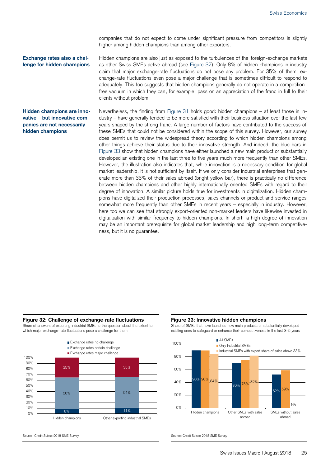companies that do not expect to come under significant pressure from competitors is slightly higher among hidden champions than among other exporters.

**Exchange rates also a challenge for hidden champions** Hidden champions are also just as exposed to the turbulences of the foreign-exchange markets as other Swiss SMEs active abroad (see Figure 32). Only 8% of hidden champions in industry claim that major exchange-rate fluctuations do not pose any problem. For 35% of them, exchange-rate fluctuations even pose a major challenge that is sometimes difficult to respond to adequately. This too suggests that hidden champions generally do not operate in a competitionfree vacuum in which they can, for example, pass on an appreciation of the franc in full to their clients without problem.

#### **Hidden champions are innovative – but innovative companies are not necessarily hidden champions**

Nevertheless, the finding from Figure 31 holds good: hidden champions – at least those in industry – have generally tended to be more satisfied with their business situation over the last few years shaped by the strong franc. A large number of factors have contributed to the success of these SMEs that could not be considered within the scope of this survey. However, our survey does permit us to review the widespread theory according to which hidden champions among other things achieve their status due to their innovative strength. And indeed, the blue bars in Figure 33 show that hidden champions have either launched a new main product or substantially developed an existing one in the last three to five years much more frequently than other SMEs. However, the illustration also indicates that, while innovation is a necessary condition for global market leadership, it is not sufficient by itself. If we only consider industrial enterprises that generate more than 33% of their sales abroad (bright yellow bar), there is practically no difference between hidden champions and other highly internationally oriented SMEs with regard to their degree of innovation. A similar picture holds true for investments in digitalization. Hidden champions have digitalized their production processes, sales channels or product and service ranges somewhat more frequently than other SMEs in recent years – especially in industry. However, here too we can see that strongly export-oriented non-market leaders have likewise invested in digitalization with similar frequency to hidden champions. In short: a high degree of innovation may be an important prerequisite for global market leadership and high long-term competitiveness, but it is no guarantee.

#### **Figure 32: Challenge of exchange-rate fluctuations Figure 33: Innovative hidden champions**

Share of answers of exporting industrial SMEs to the question about the extent to which major exchange-rate fluctuations pose a challenge for them



Share of SMEs that have launched new main products or substantially developed existing ones to safeguard or enhance their competitiveness in the last 3–5 years



Source: Credit Suisse 2018 SME Survey Source: Credit Suisse 2018 SME Survey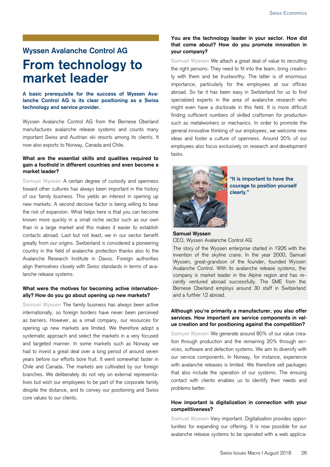### **Wyssen Avalanche Control AG From technology to market leader**

**A basic prerequisite for the success of Wyssen Avalanche Control AG is its clear positioning as a Swiss technology and service provider.** 

Wyssen Avalanche Control AG from the Bernese Oberland manufactures avalanche release systems and counts many important Swiss and Austrian ski resorts among its clients. It now also exports to Norway, Canada and Chile.

#### **What are the essential skills and qualities required to gain a foothold in different countries and even become a market leader?**

**Samuel Wyssen** A certain degree of curiosity and openness toward other cultures has always been important in the history of our family business. This yields an interest in opening up new markets. A second decisive factor is being willing to bear the risk of expansion. What helps here is that you can become known more quickly in a small niche sector such as our own than in a large market and this makes it easier to establish contacts abroad. Last but not least, we in our sector benefit greatly from our origins. Switzerland is considered a pioneering country in the field of avalanche protection thanks also to the Avalanche Research Institute in Davos. Foreign authorities align themselves closely with Swiss standards in terms of avalanche release systems.

#### **What were the motives for becoming active internationally? How do you go about opening up new markets?**

**Samuel Wyssen** The family business has always been active internationally, so foreign borders have never been perceived as barriers. However, as a small company, our resources for opening up new markets are limited. We therefore adopt a systematic approach and select the markets in a very focused and targeted manner. In some markets such as Norway we had to invest a great deal over a long period of around seven years before our efforts bore fruit. It went somewhat faster in Chile and Canada. The markets are cultivated by our foreign branches. We deliberately do not rely on external representatives but wish our employees to be part of the corporate family despite the distance, and to convey our positioning and Swiss core values to our clients.

#### **You are the technology leader in your sector. How did that come about? How do you promote innovation in your company?**

**Samuel Wyssen** We attach a great deal of value to recruiting the right persons. They need to fit into the team, bring creativity with them and be trustworthy. The latter is of enormous importance, particularly for the employees at our offices abroad. So far it has been easy in Switzerland for us to find specialized experts in the area of avalanche research who might even have a doctorate in this field. It is more difficult finding sufficient numbers of skilled craftsmen for production such as metalworkers or mechanics. In order to promote the general innovative thinking of our employees, we welcome new ideas and foster a culture of openness. Around 20% of our employees also focus exclusively on research and development tasks.



**"It is important to have the courage to position yourself clearly."**

#### **Samuel Wyssen** CEO, Wyssen Avalanche Control AG

The story of the Wyssen enterprise started in 1926 with the invention of the skyline crane. In the year 2000, Samuel Wyssen, great-grandson of the founder, founded Wyssen Avalanche Control. With its avalanche release systems, the company is market leader in the Alpine region and has recently ventured abroad successfully. The SME from the Bernese Oberland employs around 30 staff in Switzerland and a further 12 abroad.

#### **Although you're primarily a manufacturer, you also offer services. How important are service components in value creation and for positioning against the competition?**

**Samuel Wyssen** We generate around 80% of our value creation through production and the remaining 20% through services, software and detection systems. We aim to diversify with our service components. In Norway, for instance, experience with avalanche releases is limited. We therefore sell packages that also include the operation of our systems. The ensuing contact with clients enables us to identify their needs and problems better.

#### **How important is digitalization in connection with your competitiveness?**

**Samuel Wyssen** Very important. Digitalization provides opportunities for expanding our offering. It is now possible for our avalanche release systems to be operated with a web applica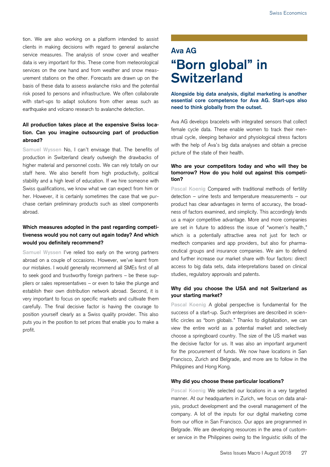tion. We are also working on a platform intended to assist clients in making decisions with regard to general avalanche service measures. The analysis of snow cover and weather data is very important for this. These come from meteorological services on the one hand and from weather and snow measurement stations on the other. Forecasts are drawn up on the basis of these data to assess avalanche risks and the potential risk posed to persons and infrastructure. We often collaborate with start-ups to adapt solutions from other areas such as earthquake and volcano research to avalanche detection.

### **All production takes place at the expensive Swiss location. Can you imagine outsourcing part of production abroad?**

**Samuel Wyssen** No, I can't envisage that. The benefits of production in Switzerland clearly outweigh the drawbacks of higher material and personnel costs. We can rely totally on our staff here. We also benefit from high productivity, political stability and a high level of education. If we hire someone with Swiss qualifications, we know what we can expect from him or her. However, it is certainly sometimes the case that we purchase certain preliminary products such as steel components abroad.

### **Which measures adopted in the past regarding competitiveness would you not carry out again today? And which would you definitely recommend?**

**Samuel Wyssen** I've relied too early on the wrong partners abroad on a couple of occasions. However, we've learnt from our mistakes. I would generally recommend all SMEs first of all to seek good and trustworthy foreign partners – be these suppliers or sales representatives – or even to take the plunge and establish their own distribution network abroad. Second, it is very important to focus on specific markets and cultivate them carefully. The final decisive factor is having the courage to position yourself clearly as a Swiss quality provider. This also puts you in the position to set prices that enable you to make a profit.

## **Ava AG "Born global" in Switzerland**

**Alongside big data analysis, digital marketing is another essential core competence for Ava AG. Start-ups also need to think globally from the outset.**

Ava AG develops bracelets with integrated sensors that collect female cycle data. These enable women to track their menstrual cycle, sleeping behavior and physiological stress factors with the help of Ava's big data analyses and obtain a precise picture of the state of their health.

#### **Who are your competitors today and who will they be tomorrow? How do you hold out against this competition?**

**Pascal Koenig** Compared with traditional methods of fertility detection – urine tests and temperature measurements – our product has clear advantages in terms of accuracy, the broadness of factors examined, and simplicity. This accordingly lends us a major competitive advantage. More and more companies are set in future to address the issue of "women's health," which is a potentially attractive area not just for tech or medtech companies and app providers, but also for pharmaceutical groups and insurance companies. We aim to defend and further increase our market share with four factors: direct access to big data sets, data interpretations based on clinical studies, regulatory approvals and patents.

#### **Why did you choose the USA and not Switzerland as your starting market?**

**Pascal Koenig** A global perspective is fundamental for the success of a start-up. Such enterprises are described in scientific circles as "born globals." Thanks to digitalization, we can view the entire world as a potential market and selectively choose a springboard country. The size of the US market was the decisive factor for us. It was also an important argument for the procurement of funds. We now have locations in San Francisco, Zurich and Belgrade, and more are to follow in the Philippines and Hong Kong.

#### **Why did you choose these particular locations?**

**Pascal Koenig** We selected our locations in a very targeted manner. At our headquarters in Zurich, we focus on data analysis, product development and the overall management of the company. A lot of the inputs for our digital marketing come from our office in San Francisco. Our apps are programmed in Belgrade. We are developing resources in the area of customer service in the Philippines owing to the linguistic skills of the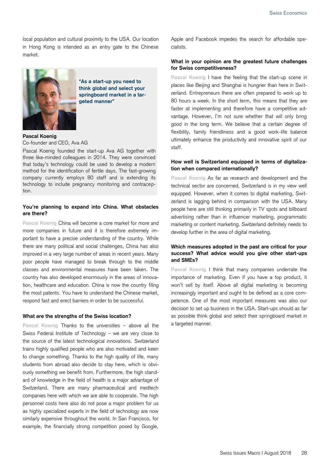local population and cultural proximity to the USA. Our location in Hong Kong is intended as an entry gate to the Chinese market.



**"As a start-up you need to think global and select your springboard market in a targeted manner"**

#### **Pascal Koenig** Co-founder and CEO, Ava AG

Pascal Koenig founded the start-up Ava AG together with three like-minded colleagues in 2014. They were convinced that today's technology could be used to develop a modern method for the identification of fertile days. The fast-growing company currently employs 80 staff and is extending its technology to include pregnancy monitoring and contraception.

#### **You're planning to expand into China. What obstacles are there?**

**Pascal Koenig** China will become a core market for more and more companies in future and it is therefore extremely important to have a precise understanding of the country. While there are many political and social challenges, China has also improved in a very large number of areas in recent years. Many poor people have managed to break through to the middle classes and environmental measures have been taken. The country has also developed enormously in the areas of innovation, healthcare and education. China is now the country filing the most patents. You have to understand the Chinese market, respond fast and erect barriers in order to be successful.

#### **What are the strengths of the Swiss location?**

**Pascal Koenig** Thanks to the universities – above all the Swiss Federal Institute of Technology – we are very close to the source of the latest technological innovations. Switzerland trains highly qualified people who are also motivated and keen to change something. Thanks to the high quality of life, many students from abroad also decide to stay here, which is obviously something we benefit from. Furthermore, the high standard of knowledge in the field of health is a major advantage of Switzerland. There are many pharmaceutical and medtech companies here with which we are able to cooperate. The high personnel costs here also do not pose a major problem for us as highly specialized experts in the field of technology are now similarly expensive throughout the world. In San Francisco, for example, the financially strong competition posed by Google,

Apple and Facebook impedes the search for affordable specialists.

#### **What in your opinion are the greatest future challenges for Swiss competitiveness?**

**Pascal Koenig** I have the feeling that the start-up scene in places like Beijing and Shanghai is hungrier than here in Switzerland. Entrepreneurs there are often prepared to work up to 80 hours a week. In the short term, this means that they are faster at implementing and therefore have a competitive advantage. However, I'm not sure whether that will only bring good in the long term. We believe that a certain degree of flexibility, family friendliness and a good work-life balance ultimately enhance the productivity and innovative spirit of our staff.

#### **How well is Switzerland equipped in terms of digitalization when compared internationally?**

**Pascal Koenig** As far as research and development and the technical sector are concerned, Switzerland is in my view well equipped. However, when it comes to digital marketing, Switzerland is lagging behind in comparison with the USA. Many people here are still thinking primarily in TV spots and billboard advertising rather than in influencer marketing, programmatic marketing or content marketing. Switzerland definitely needs to develop further in the area of digital marketing.

#### **Which measures adopted in the past are critical for your success? What advice would you give other start-ups and SMEs?**

**Pascal Koenig** I think that many companies underrate the importance of marketing. Even if you have a top product, it won't sell by itself. Above all digital marketing is becoming increasingly important and ought to be defined as a core competence. One of the most important measures was also our decision to set up business in the USA. Start-ups should as far as possible think global and select their springboard market in a targeted manner.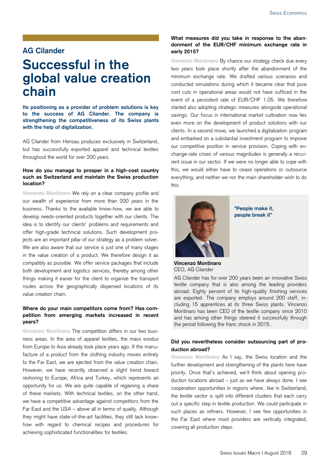### **AG Cilander**

## **Successful in the global value creation chain**

**Its positioning as a provider of problem solutions is key to the success of AG Cilander. The company is strengthening the competitiveness of its Swiss plants with the help of digitalization.**

AG Cilander from Herisau produces exclusively in Switzerland, but has successfully exported apparel and technical textiles throughout the world for over 200 years.

#### **How do you manage to prosper in a high-cost country such as Switzerland and maintain the Swiss production location?**

**Vincenzo Montinaro** We rely on a clear company profile and our wealth of experience from more than 200 years in the business. Thanks to the available know-how, we are able to develop needs-oriented products together with our clients. The idea is to identify our clients' problems and requirements and offer high-grade technical solutions. Such development projects are an important pillar of our strategy as a problem solver. We are also aware that our service is just one of many stages in the value creation of a product. We therefore design it as compatibly as possible. We offer service packages that include both development and logistics services, thereby among other things making it easier for the client to organize the transport routes across the geographically dispersed locations of its value creation chain.

#### **Where do your main competitors come from? Has competition from emerging markets increased in recent years?**

**Vincenzo Montinaro** The competition differs in our two business areas. In the area of apparel textiles, the mass exodus from Europe to Asia already took place years ago. If the manufacture of a product from the clothing industry moves entirely to the Far East, we are ejected from the value creation chain. However, we have recently observed a slight trend toward reshoring to Europe, Africa and Turkey, which represents an opportunity for us. We are quite capable of regaining a share of these markets. With technical textiles, on the other hand, we have a competitive advantage against competitors from the Far East and the USA – above all in terms of quality. Although they might have state-of-the-art facilities, they still lack knowhow with regard to chemical recipes and procedures for achieving sophisticated functionalities for textiles.

#### **What measures did you take in response to the abandonment of the EUR/CHF minimum exchange rate in early 2015?**

**Vincenzo Montinaro** By chance our strategy check due every two years took place shortly after the abandonment of the minimum exchange rate. We drafted various scenarios and conducted simulations during which it became clear that pure cost cuts in operational areas would not have sufficed in the event of a persistent rate of EUR/CHF 1.05. We therefore started also adopting strategic measures alongside operational savings. Our focus in international market cultivation now lies even more on the development of product solutions with our clients. In a second move, we launched a digitalization program and embarked on a substantial investment program to improve our competitive position in service provision. Coping with exchange-rate crises of various magnitudes is generally a recurrent issue in our sector. If we were no longer able to cope with this, we would either have to cease operations or outsource everything, and neither we nor the main shareholder wish to do this.



**"People make it, people break it"** 

**Vincenzo Montinaro** CEO, AG Cilander

AG Cilander has for over 200 years been an innovative Swiss textile company that is also among the leading providers abroad. Eighty percent of its high-quality finishing services are exported. The company employs around 200 staff, including 15 apprentices at its three Swiss plants. Vincenzo Montinaro has been CEO of the textile company since 2010 and has among other things steered it successfully through the period following the franc shock in 2015.

#### **Did you nevertheless consider outsourcing part of production abroad?**

**Vincenzo Montinaro** As I say, the Swiss location and the further development and strengthening of the plants here have priority. Once that's achieved, we'll think about opening production locations abroad – just as we have always done. I see cooperation opportunities in regions where, like in Switzerland, the textile sector is split into different clusters that each carry out a specific step in textile production. We could participate in such places as refiners. However, I see few opportunities in the Far East where most providers are vertically integrated, covering all production steps.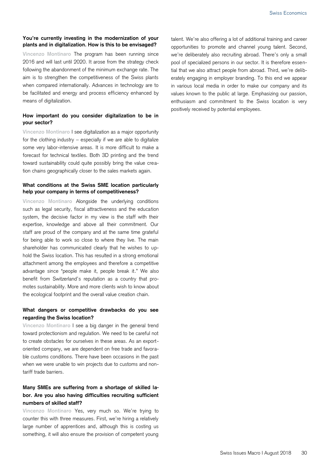#### **You're currently investing in the modernization of your plants and in digitalization. How is this to be envisaged?**

**Vincenzo Montinaro** The program has been running since 2016 and will last until 2020. It arose from the strategy check following the abandonment of the minimum exchange rate. The aim is to strengthen the competitiveness of the Swiss plants when compared internationally. Advances in technology are to be facilitated and energy and process efficiency enhanced by means of digitalization.

#### **How important do you consider digitalization to be in your sector?**

**Vincenzo Montinaro** I see digitalization as a major opportunity for the clothing industry  $-$  especially if we are able to digitalize some very labor-intensive areas. It is more difficult to make a forecast for technical textiles. Both 3D printing and the trend toward sustainability could quite possibly bring the value creation chains geographically closer to the sales markets again.

#### **What conditions at the Swiss SME location particularly help your company in terms of competitiveness?**

**Vincenzo Montinaro** Alongside the underlying conditions such as legal security, fiscal attractiveness and the education system, the decisive factor in my view is the staff with their expertise, knowledge and above all their commitment. Our staff are proud of the company and at the same time grateful for being able to work so close to where they live. The main shareholder has communicated clearly that he wishes to uphold the Swiss location. This has resulted in a strong emotional attachment among the employees and therefore a competitive advantage since "people make it, people break it." We also benefit from Switzerland's reputation as a country that promotes sustainability. More and more clients wish to know about the ecological footprint and the overall value creation chain.

### **What dangers or competitive drawbacks do you see regarding the Swiss location?**

**Vincenzo Montinaro** I see a big danger in the general trend toward protectionism and regulation. We need to be careful not to create obstacles for ourselves in these areas. As an exportoriented company, we are dependent on free trade and favorable customs conditions. There have been occasions in the past when we were unable to win projects due to customs and nontariff trade barriers.

### **Many SMEs are suffering from a shortage of skilled labor. Are you also having difficulties recruiting sufficient numbers of skilled staff?**

**Vincenzo Montinaro** Yes, very much so. We're trying to counter this with three measures. First, we're hiring a relatively large number of apprentices and, although this is costing us something, it will also ensure the provision of competent young

talent. We're also offering a lot of additional training and career opportunities to promote and channel young talent. Second, we're deliberately also recruiting abroad. There's only a small pool of specialized persons in our sector. It is therefore essential that we also attract people from abroad. Third, we're deliberately engaging in employer branding. To this end we appear in various local media in order to make our company and its values known to the public at large. Emphasizing our passion, enthusiasm and commitment to the Swiss location is very positively received by potential employees.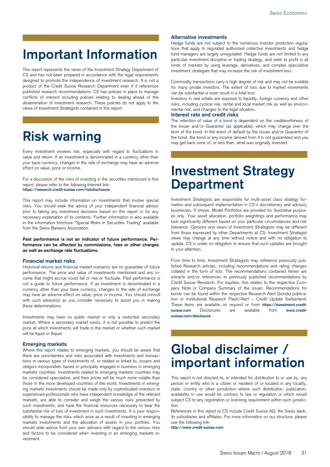## **Important Information**

This report represents the views of the Investment Strategy Department of CS and has not been prepared in accordance with the legal requirements designed to promote the independence of investment research. It is not a product of the Credit Suisse Research Department even if it references published research recommendations. CS has policies in place to manage conflicts of interest including policies relating to dealing ahead of the dissemination of investment research. These policies do not apply to the views of Investment Strategists contained in this report.

## **Risk warning**

Every investment involves risk, especially with regard to fluctuations in value and return. If an investment is denominated in a currency other than your base currency, changes in the rate of exchange may have an adverse effect on value, price or income.

For a discussion of the risks of investing in the securities mentioned in this report, please refer to the following Internet link: **https://research.credit-suisse.com/riskdisclosure**

This report may include information on investments that involve special risks. You should seek the advice of your independent financial advisor prior to taking any investment decisions based on this report or for any necessary explanation of its contents. Further information is also available in the information brochure "Special Risks in Securities Trading" available from the Swiss Bankers Association.

**Past performance is not an indicator of future performance. Performance can be affected by commissions, fees or other charges as well as exchange rate fluctuations.**

#### **Financial market risks**

Historical returns and financial market scenarios are no guarantee of future performance. The price and value of investments mentioned and any income that might accrue could fall or rise or fluctuate. Past performance is not a guide to future performance. If an investment is denominated in a currency other than your base currency, changes in the rate of exchange may have an adverse effect on value, price or income. You should consult with such advisor(s) as you consider necessary to assist you in making these determinations.

Investments may have no public market or only a restricted secondary market. Where a secondary market exists, it is not possible to predict the price at which investments will trade in the market or whether such market will be liquid or illiquid.

#### **Emerging markets**

Where this report relates to emerging markets, you should be aware that there are uncertainties and risks associated with investments and transactions in various types of investments of, or related or linked to, issuers and obligors incorporated, based or principally engaged in business in emerging markets countries. Investments related to emerging markets countries may be considered speculative, and their prices will be much more volatile than those in the more developed countries of the world. Investments in emerging markets investments should be made only by sophisticated investors or experienced professionals who have independent knowledge of the relevant markets, are able to consider and weigh the various risks presented by such investments, and have the financial resources necessary to bear the substantial risk of loss of investment in such investments. It is your responsibility to manage the risks which arise as a result of investing in emerging markets investments and the allocation of assets in your portfolio. You should seek advice from your own advisers with regard to the various risks and factors to be considered when investing in an emerging markets investment.

#### **Alternative investments**

Hedge funds are not subject to the numerous investor protection regulations that apply to regulated authorized collective investments and hedge fund managers are largely unregulated. Hedge funds are not limited to any particular investment discipline or trading strategy, and seek to profit in all kinds of markets by using leverage, derivatives, and complex speculative investment strategies that may increase the risk of investment loss.

Commodity transactions carry a high degree of risk and may not be suitable for many private investors. The extent of loss due to market movements can be substantial or even result in a total loss.

Investors in real estate are exposed to liquidity, foreign currency and other risks, including cyclical risk, rental and local market risk as well as environmental risk, and changes to the legal situation.

#### **Interest rate and credit risks**

The retention of value of a bond is dependent on the creditworthiness of the Issuer and/or Guarantor (as applicable), which may change over the term of the bond. In the event of default by the Issuer and/or Guarantor of the bond, the bond or any income derived from it is not guaranteed and you may get back none of, or less than, what was originally invested.

## **Investment Strategy Department**

Investment Strategists are responsible for multi-asset class strategy formation and subsequent implementation in CS's discretionary and advisory businesses. If shown, Model Portfolios are provided for illustrative purposes only. Your asset allocation, portfolio weightings and performance may look significantly different based on your particular circumstances and risk tolerance. Opinions and views of Investment Strategists may be different from those expressed by other Departments at CS. Investment Strategist views may change at any time without notice and with no obligation to update. CS is under no obligation to ensure that such updates are brought to your attention.

From time to time, Investment Strategists may reference previously published Research articles, including recommendations and rating changes collated in the form of lists. The recommendations contained herein are extracts and/or references to previously published recommendations by Credit Suisse Research. For equities, this relates to the respective Company Note or Company Summary of the issuer. Recommendations for bonds can be found within the respective Research Alert (bonds) publication or Institutional Research Flash/Alert – Credit Update Switzerland. These items are available on request or from **https://investment.creditsuisse.com** Disclosures are available from **www.creditsuisse.com/disclosure**

## **Global disclaimer / important information**

This report is not directed to, or intended for distribution to or use by, any person or entity who is a citizen or resident of or located in any locality, state, country or other jurisdiction where such distribution, publication, availability or use would be contrary to law or regulation or which would subject CS to any registration or licensing requirement within such jurisdiction.

References in this report to CS include Credit Suisse AG, the Swiss bank, its subsidiaries and affiliates. For more information on our structure, please use the following link: **http://www.credit-suisse.com**

Swiss Issues Macro I August 2018 31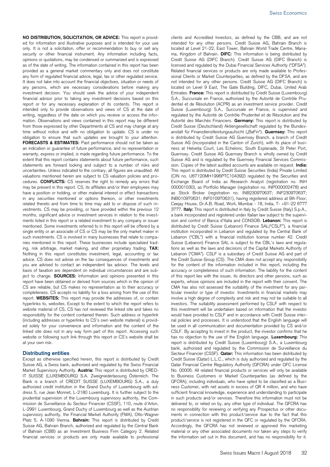**NO DISTRIBUTION, SOLICITATION, OR ADVICE:** This report is provided for information and illustrative purposes and is intended for your use only. It is not a solicitation, offer or recommendation to buy or sell any security or other financial instrument. Any information including facts, opinions or quotations, may be condensed or summarized and is expressed as of the date of writing. The information contained in this report has been provided as a general market commentary only and does not constitute any form of regulated financial advice, legal, tax or other regulated service. It does not take into account the financial objectives, situation or needs of any persons, which are necessary considerations before making any investment decision. You should seek the advice of your independent financial advisor prior to taking any investment decisions based on this report or for any necessary explanation of its contents. This report is intended only to provide observations and views of CS at the date of writing, regardless of the date on which you receive or access the information. Observations and views contained in this report may be different from those expressed by other Departments at CS and may change at any time without notice and with no obligation to update. CS is under no obligation to ensure that such updates are brought to your attention. **FORECASTS & ESTIMATES:** Past performance should not be taken as an indication or guarantee of future performance, and no representation or warranty, express or implied, is made regarding future performance. To the extent that this report contains statements about future performance, such statements are forward looking and subject to a number of risks and uncertainties. Unless indicated to the contrary, all figures are unaudited. All valuations mentioned herein are subject to CS valuation policies and procedures. **CONFLICTS:** CS reserves the right to remedy any errors that may be present in this report. CS, its affiliates and/or their employees may have a position or holding, or other material interest or effect transactions in any securities mentioned or options thereon, or other investments related thereto and from time to time may add to or dispose of such investments. CS may be providing, or have provided within the previous 12 months, significant advice or investment services in relation to the investments listed in this report or a related investment to any company or issuer mentioned. Some investments referred to in this report will be offered by a single entity or an associate of CS or CS may be the only market maker in such investments. CS is involved in many businesses that relate to companies mentioned in this report. These businesses include specialized trading, risk arbitrage, market making, and other proprietary trading. **TAX:** Nothing in this report constitutes investment, legal, accounting or tax advice. CS does not advise on the tax consequences of investments and you are advised to contact an independent tax advisor. The levels and basis of taxation are dependent on individual circumstances and are subject to change. **SOURCES:** Information and opinions presented in this report have been obtained or derived from sources which in the opinion of CS are reliable, but CS makes no representation as to their accuracy or completeness. CS accepts no liability for a loss arising from the use of this report. **WEBSITES:** This report may provide the addresses of, or contain hyperlinks to, websites. Except to the extent to which the report refers to website material of CS, CS has not reviewed the linked site and takes no responsibility for the content contained therein. Such address or hyperlink (including addresses or hyperlinks to CS's own website material) is provided solely for your convenience and information and the content of the linked site does not in any way form part of this report. Accessing such website or following such link through this report or CS's website shall be at your own risk.

#### **Distributing entities**

Except as otherwise specified herein, this report is distributed by Credit Suisse AG, a Swiss bank, authorized and regulated by the Swiss Financial Market Supervisory Authority. **Austria:** This report is distributed by CRED-IT SUISSE (LUXEMBOURG) S.A. Zweigniederlassung Österreich. The Bank is a branch of CREDIT SUISSE (LUXEMBOURG) S.A., a duly authorized credit institution in the Grand Duchy of Luxembourg with address 5, rue Jean Monnet, L-2180 Luxemburg. It is further subject to the prudential supervision of the Luxembourg supervisory authority, the Commission de Surveillance du Secteur Financier (CSSF), 110, route d'Arlon, L-2991 Luxembourg, Grand Duchy of Luxembourg as well as the Austrian supervisory authority, the Financial Market Authority (FMA), Otto-Wagner Platz 5, A-1090 Vienna. **Bahrain:** This report is distributed by Credit Suisse AG, Bahrain Branch, authorized and regulated by the Central Bank of Bahrain (CBB) as an Investment Business Firm Category 2. Related financial services or products are only made available to professional

clients and Accredited Investors, as defined by the CBB, and are not intended for any other persons. Credit Suisse AG, Bahrain Branch is located at Level 21-22, East Tower, Bahrain World Trade Centre, Manama, Kingdom of Bahrain. **DIFC:** This information is being distributed by Credit Suisse AG (DIFC Branch). Credit Suisse AG (DIFC Branch) is licensed and regulated by the Dubai Financial Services Authority ("DFSA"). Related financial services or products are only made available to Professional Clients or Market Counterparties, as defined by the DFSA, and are not intended for any other persons. Credit Suisse AG (DIFC Branch) is located on Level 9 East, The Gate Building, DIFC, Dubai, United Arab Emirates. **France:** This report is distributed by Credit Suisse (Luxembourg) S.A., Succursale en France, authorized by the Autorité de Contrôle Prudentiel et de Résolution (ACPR) as an investment service provider. Credit Suisse (Luxembourg) S.A., Succursale en France, is supervised and regulated by the Autorité de Contrôle Prudentiel et de Résolution and the Autorité des Marchés Financiers. **Germany:** This report is distributed by Credit Suisse (Deutschland) Aktiengesellschaft regulated by the Bundesanstalt für Finanzdienstleistungsaufsicht ("BaFin"). Guernsey: This report is distributed by Credit Suisse AG Guernsey Branch, a branch of Credit Suisse AG (incorporated in the Canton of Zurich), with its place of business at Helvetia Court, Les Echelons, South Esplanade, St Peter Port, Guernsey. Credit Suisse AG Guernsey Branch is wholly owned by Credit Suisse AG and is regulated by the Guernsey Financial Services Commission. Copies of the latest audited accounts are available on request. **India:**  This report is distributed by Credit Suisse Securities (India) Private Limited (CIN no. U67120MH1996PTC104392) regulated by the Securities and Exchange Board of India as Research Analyst (registration no. INH 000001030), as Portfolio Manager (registration no. INP000002478) and as Stock Broker (registration no. INB230970637; INF230970637; INB010970631; INF010970631), having registered address at 9th Floor, Ceejay House, Dr.A.B. Road, Worli, Mumbai - 18, India, T- +91-22 6777 3777. **Italy:** This report is distributed in Italy by Credit Suisse (Italy) S.p.A., a bank incorporated and registered under Italian law subject to the supervision and control of Banca d'Italia and CONSOB. **Lebanon:** This report is distributed by Credit Suisse (Lebanon) Finance SAL("CSLF"), a financial institution incorporated in Lebanon and regulated by the Central Bank of Lebanon ("CBL") with a financial institution license number 42. Credit Suisse (Lebanon) Finance SAL is subject to the CBL's laws and regulations as well as the laws and decisions of the Capital Markets Authority of Lebanon ("CMA"). CSLF is a subsidiary of Credit Suisse AG and part of the Credit Suisse Group (CS). The CMA does not accept any responsibility for the content of the information included in this report, including the accuracy or completeness of such information. The liability for the content of this report lies with the issuer, its directors and other persons, such as experts, whose opinions are included in the report with their consent. The CMA has also not assessed the suitability of the investment for any particular investor or type of investor. Investments in financial markets may involve a high degree of complexity and risk and may not be suitable to all investors. The suitability assessment performed by CSLF with respect to this investment will be undertaken based on information that the investor would have provided to CSLF and in accordance with Credit Suisse internal policies and processes. It is understood that the English language will be used in all communication and documentation provided by CS and/or CSLF. By accepting to invest in the product, the investor confirms that he has no objection to the use of the English language. **Luxembourg:** This report is distributed by Credit Suisse (Luxembourg) S.A., a Luxembourg bank, authorized and regulated by the Commission de Surveillance du Secteur Financier (CSSF). **Qatar:** This information has been distributed by Credit Suisse (Qatar) L.L.C., which is duly authorized and regulated by the Qatar Financial Centre Regulatory Authority (QFCRA) under QFC License No. 00005. All related financial products or services will only be available to Business Customers or Market Counterparties (as defined by the QFCRA), including individuals, who have opted to be classified as a Business Customer, with net assets in excess of QR 4 million, and who have sufficient financial knowledge, experience and understanding to participate in such products and/or services. Therefore this information must not be delivered to, or relied on by, any other type of individual. The QFCRA has no responsibility for reviewing or verifying any Prospectus or other documents in connection with this product/service due to the fact that this product/service is not registered in the QFC or regulated by the QFCRA. Accordingly, the QFCRA has not reviewed or approved this marketing material or any other associated documents nor taken any steps to verify the information set out in this document, and has no responsibility for it.